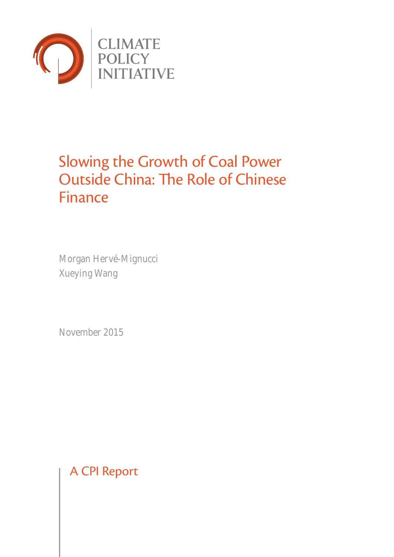

# Slowing the Growth of Coal Power Outside China: The Role of Chinese Finance

Morgan Hervé-Mignucci Xueying Wang

November 2015

A CPI Report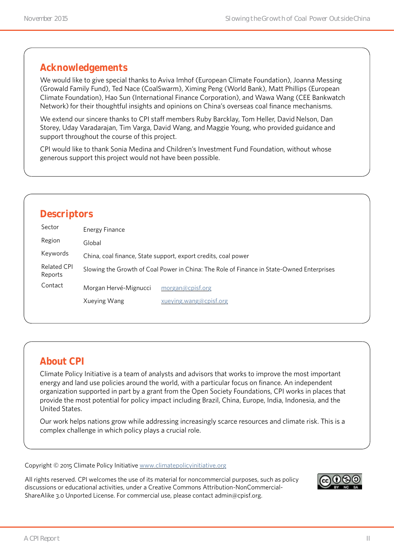### **Acknowledgements**

We would like to give special thanks to Aviva Imhof (European Climate Foundation), Joanna Messing (Growald Family Fund), Ted Nace (CoalSwarm), Ximing Peng (World Bank), Matt Phillips (European Climate Foundation), Hao Sun (International Finance Corporation), and Wawa Wang (CEE Bankwatch Network) for their thoughtful insights and opinions on China's overseas coal finance mechanisms.

We extend our sincere thanks to CPI staff members Ruby Barcklay, Tom Heller, David Nelson, Dan Storey, Uday Varadarajan, Tim Varga, David Wang, and Maggie Young, who provided guidance and support throughout the course of this project.

CPI would like to thank Sonia Medina and Children's Investment Fund Foundation, without whose generous support this project would not have been possible.

|                               | <b>Descriptors</b>    |                                                                                           |
|-------------------------------|-----------------------|-------------------------------------------------------------------------------------------|
| Sector                        | Energy Finance        |                                                                                           |
| Region                        | Global                |                                                                                           |
| Keywords                      |                       | China, coal finance, State support, export credits, coal power                            |
| <b>Related CPI</b><br>Reports |                       | Slowing the Growth of Coal Power in China: The Role of Finance in State-Owned Enterprises |
| Contact                       | Morgan Hervé-Mignucci | morgan@cpisf.org                                                                          |
|                               | Xueying Wang          | xueying.wang@cpisf.org                                                                    |

### **About CPI**

Climate Policy Initiative is a team of analysts and advisors that works to improve the most important energy and land use policies around the world, with a particular focus on finance. An independent organization supported in part by a grant from the Open Society Foundations, CPI works in places that provide the most potential for policy impact including Brazil, China, Europe, India, Indonesia, and the United States.

Our work helps nations grow while addressing increasingly scarce resources and climate risk. This is a complex challenge in which policy plays a crucial role.

Copyright © 2015 Climate Policy Initiative [www.climatepolicyinitiative.org](http://www.climatepolicyinitiative.org )

All rights reserved. CPI welcomes the use of its material for noncommercial purposes, such as policy discussions or educational activities, under a Creative Commons Attribution-NonCommercial-ShareAlike 3.0 Unported License. For commercial use, please contact admin@cpisf.org.

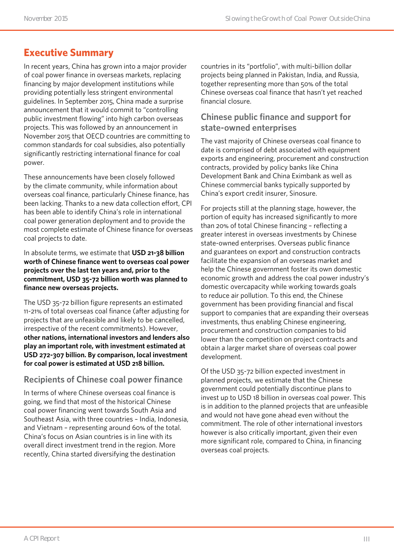# **Executive Summary**

In recent years, China has grown into a major provider of coal power finance in overseas markets, replacing financing by major development institutions while providing potentially less stringent environmental guidelines. In September 2015, China made a surprise announcement that it would commit to "controlling public investment flowing" into high carbon overseas projects. This was followed by an announcement in November 2015 that OECD countries are committing to common standards for coal subsidies, also potentially significantly restricting international finance for coal power.

These announcements have been closely followed by the climate community, while information about overseas coal finance, particularly Chinese finance, has been lacking. Thanks to a new data collection effort, CPI has been able to identify China's role in international coal power generation deployment and to provide the most complete estimate of Chinese finance for overseas coal projects to date.

In absolute terms, we estimate that **USD 21-38 billion worth of Chinese finance went to overseas coal power projects over the last ten years and, prior to the commitment, USD 35-72 billion worth was planned to finance new overseas projects.**

The USD 35-72 billion figure represents an estimated 11-21% of total overseas coal finance (after adjusting for projects that are unfeasible and likely to be cancelled, irrespective of the recent commitments). However, **other nations, international investors and lenders also play an important role, with investment estimated at USD 272-307 billion. By comparison, local investment for coal power is estimated at USD 218 billion.**

#### **Recipients of Chinese coal power finance**

In terms of where Chinese overseas coal finance is going, we find that most of the historical Chinese coal power financing went towards South Asia and Southeast Asia, with three countries – India, Indonesia, and Vietnam – representing around 60% of the total. China's focus on Asian countries is in line with its overall direct investment trend in the region. More recently, China started diversifying the destination

countries in its "portfolio", with multi-billion dollar projects being planned in Pakistan, India, and Russia, together representing more than 50% of the total Chinese overseas coal finance that hasn't yet reached financial closure.

#### **Chinese public finance and support for state-owned enterprises**

The vast majority of Chinese overseas coal finance to date is comprised of debt associated with equipment exports and engineering, procurement and construction contracts, provided by policy banks like China Development Bank and China Eximbank as well as Chinese commercial banks typically supported by China's export credit insurer, Sinosure.

For projects still at the planning stage, however, the portion of equity has increased significantly to more than 20% of total Chinese financing – reflecting a greater interest in overseas investments by Chinese state-owned enterprises. Overseas public finance and guarantees on export and construction contracts facilitate the expansion of an overseas market and help the Chinese government foster its own domestic economic growth and address the coal power industry's domestic overcapacity while working towards goals to reduce air pollution. To this end, the Chinese government has been providing financial and fiscal support to companies that are expanding their overseas investments, thus enabling Chinese engineering, procurement and construction companies to bid lower than the competition on project contracts and obtain a larger market share of overseas coal power development.

Of the USD 35-72 billion expected investment in planned projects, we estimate that the Chinese government could potentially discontinue plans to invest up to USD 18 billion in overseas coal power. This is in addition to the planned projects that are unfeasible and would not have gone ahead even without the commitment. The role of other international investors however is also critically important, given their even more significant role, compared to China, in financing overseas coal projects.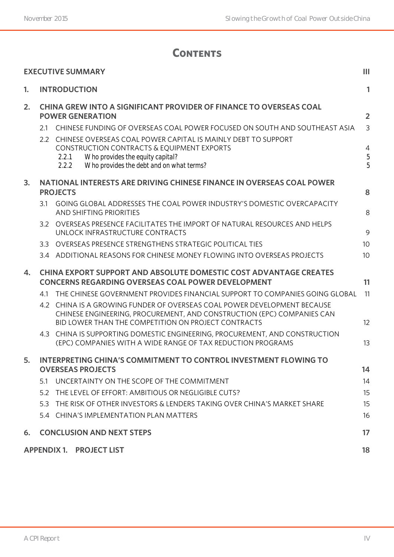# **Contents**

|    | <b>EXECUTIVE SUMMARY</b>                                                                                                                                                                                                                             | Ш                                 |
|----|------------------------------------------------------------------------------------------------------------------------------------------------------------------------------------------------------------------------------------------------------|-----------------------------------|
| 1. | <b>INTRODUCTION</b>                                                                                                                                                                                                                                  | 1                                 |
| 2. | CHINA GREW INTO A SIGNIFICANT PROVIDER OF FINANCE TO OVERSEAS COAL<br><b>POWER GENERATION</b><br>2.1 CHINESE FUNDING OF OVERSEAS COAL POWER FOCUSED ON SOUTH AND SOUTHEAST ASIA<br>2.2 CHINESE OVERSEAS COAL POWER CAPITAL IS MAINLY DEBT TO SUPPORT | $\overline{2}$<br>$\mathfrak{Z}$  |
|    | CONSTRUCTION CONTRACTS & EQUIPMENT EXPORTS<br>Who provides the equity capital?<br>2.2.1<br>2.2.2<br>Who provides the debt and on what terms?                                                                                                         | $\overline{4}$<br>$\sqrt{5}$<br>5 |
| 3. | NATIONAL INTERESTS ARE DRIVING CHINESE FINANCE IN OVERSEAS COAL POWER<br><b>PROJECTS</b>                                                                                                                                                             | 8                                 |
|    | GOING GLOBAL ADDRESSES THE COAL POWER INDUSTRY'S DOMESTIC OVERCAPACITY<br>3.1<br><b>AND SHIFTING PRIORITIES</b>                                                                                                                                      | 8                                 |
|    | 3.2<br>OVERSEAS PRESENCE FACILITATES THE IMPORT OF NATURAL RESOURCES AND HELPS<br>UNLOCK INFRASTRUCTURE CONTRACTS                                                                                                                                    | 9                                 |
|    | 3.3 OVERSEAS PRESENCE STRENGTHENS STRATEGIC POLITICAL TIES                                                                                                                                                                                           | 10                                |
|    | 3.4 ADDITIONAL REASONS FOR CHINESE MONEY FLOWING INTO OVERSEAS PROJECTS                                                                                                                                                                              | 10                                |
| 4. | <b>CHINA EXPORT SUPPORT AND ABSOLUTE DOMESTIC COST ADVANTAGE CREATES</b><br><b>CONCERNS REGARDING OVERSEAS COAL POWER DEVELOPMENT</b>                                                                                                                | 11                                |
|    | THE CHINESE GOVERNMENT PROVIDES FINANCIAL SUPPORT TO COMPANIES GOING GLOBAL<br>4.1                                                                                                                                                                   | 11                                |
|    | 4.2 CHINA IS A GROWING FUNDER OF OVERSEAS COAL POWER DEVELOPMENT BECAUSE<br>CHINESE ENGINEERING, PROCUREMENT, AND CONSTRUCTION (EPC) COMPANIES CAN<br>BID LOWER THAN THE COMPETITION ON PROJECT CONTRACTS                                            | 12                                |
|    | CHINA IS SUPPORTING DOMESTIC ENGINEERING, PROCUREMENT, AND CONSTRUCTION<br>4.3<br>(EPC) COMPANIES WITH A WIDE RANGE OF TAX REDUCTION PROGRAMS                                                                                                        | 13                                |
| 5. | <b>INTERPRETING CHINA'S COMMITMENT TO CONTROL INVESTMENT FLOWING TO</b>                                                                                                                                                                              |                                   |
|    | <b>OVERSEAS PROJECTS</b>                                                                                                                                                                                                                             | 14                                |
|    | UNCERTAINTY ON THE SCOPE OF THE COMMITMENT<br>5.1                                                                                                                                                                                                    | 14                                |
|    | THE LEVEL OF EFFORT: AMBITIOUS OR NEGLIGIBLE CUTS?<br>5.2                                                                                                                                                                                            | 15                                |
|    | THE RISK OF OTHER INVESTORS & LENDERS TAKING OVER CHINA'S MARKET SHARE<br>5.3                                                                                                                                                                        | 15                                |
|    | 5.4 CHINA'S IMPLEMENTATION PLAN MATTERS                                                                                                                                                                                                              | 16                                |
| 6. | <b>CONCLUSION AND NEXT STEPS</b>                                                                                                                                                                                                                     | 17                                |
|    | <b>APPENDIX 1. PROJECT LIST</b>                                                                                                                                                                                                                      | 18                                |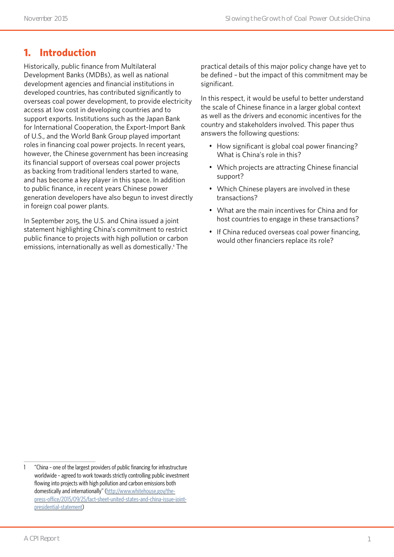### **1. Introduction**

Historically, public finance from Multilateral Development Banks (MDBs), as well as national development agencies and financial institutions in developed countries, has contributed significantly to overseas coal power development, to provide electricity access at low cost in developing countries and to support exports. Institutions such as the Japan Bank for International Cooperation, the Export-Import Bank of U.S., and the World Bank Group played important roles in financing coal power projects. In recent years, however, the Chinese government has been increasing its financial support of overseas coal power projects as backing from traditional lenders started to wane, and has become a key player in this space. In addition to public finance, in recent years Chinese power generation developers have also begun to invest directly in foreign coal power plants.

In September 2015, the U.S. and China issued a joint statement highlighting China's commitment to restrict public finance to projects with high pollution or carbon emissions, internationally as well as domestically.<sup>1</sup> The practical details of this major policy change have yet to be defined – but the impact of this commitment may be significant.

In this respect, it would be useful to better understand the scale of Chinese finance in a larger global context as well as the drivers and economic incentives for the country and stakeholders involved. This paper thus answers the following questions:

- How significant is global coal power financing? What is China's role in this?
- Which projects are attracting Chinese financial support?
- Which Chinese players are involved in these transactions?
- What are the main incentives for China and for host countries to engage in these transactions?
- If China reduced overseas coal power financing, would other financiers replace its role?

<sup>1</sup> "China – one of the largest providers of public financing for infrastructure worldwide – agreed to work towards strictly controlling public investment flowing into projects with high pollution and carbon emissions both domestically and internationally" [\(http://www.whitehouse.gov/the](http://www.whitehouse.gov/the-press-office/2015/09/25/fact-sheet-united-states-and-china-issue-joint)[press-office/2015/09/25/fact-sheet-united-states-and-china-issue-joint](http://www.whitehouse.gov/the-press-office/2015/09/25/fact-sheet-united-states-and-china-issue-joint)[presidential-statement](http://www.whitehouse.gov/the-press-office/2015/09/25/fact-sheet-united-states-and-china-issue-joint))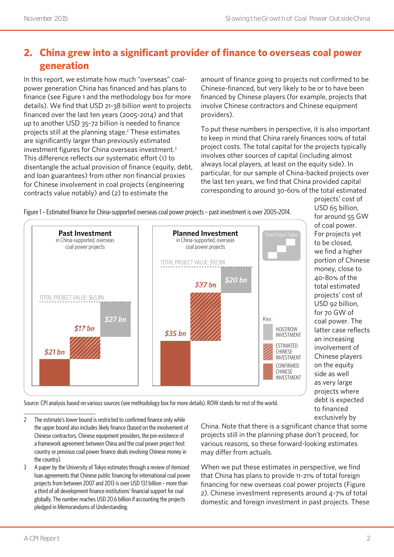# **2. China grew into a significant provider of finance to overseas coal power generation**

In this report, we estimate how much "overseas" coalpower generation China has financed and has plans to finance (see Figure 1 and the methodology box for more details). We find that USD 21-38 billion went to projects financed over the last ten years (2005-2014) and that up to another USD 35-72 billion is needed to finance projects still at the planning stage.<sup>2</sup> These estimates are significantly larger than previously estimated investment figures for China overseas investment.3 This difference reflects our systematic effort (1) to disentangle the actual provision of finance (equity, debt, and loan guarantees) from other non financial proxies for Chinese involvement in coal projects (engineering contracts value notably) and (2) to estimate the

amount of finance going to projects not confirmed to be Chinese-financed, but very likely to be or to have been financed by Chinese players (for example, projects that involve Chinese contractors and Chinese equipment providers).

To put these numbers in perspective, it is also important to keep in mind that China rarely finances 100% of total project costs. The total capital for the projects typically involves other sources of capital (including almost always local players, at least on the equity side). In particular, for our sample of China-backed projects over the last ten years, we find that China provided capital corresponding to around 30-60% of the total estimated

Figure 1 – Estimated finance for China-supported overseas coal power projects – past investment is over 2005-2014.



projects' cost of USD 65 billion, for around 55 GW of coal power. For projects yet to be closed, we find a higher portion of Chinese money, close to 40-80% of the total estimated projects' cost of USD 92 billion, for 70 GW of coal power. The latter case reflects an increasing involvement of Chinese players on the equity side as well as very large projects where debt is expected to financed exclusively by

Source: CPI analysis based on various sources (see methodology box for more details). ROW stands for rest of the world.

- 2 The estimate's lower bound is restricted to confirmed finance only while the upper bound also includes likely finance (based on the involvement of Chinese contractors, Chinese equipment providers, the pre-existence of a framework agreement between China and the coal power project host country or previous coal power finance deals involving Chinese money in the country).
- 3 A paper by the University of Tokyo estimates through a review of itemized loan agreements that Chinese public financing for international coal power projects from between 2007 and 2013 is over USD 13.1 billion – more than a third of all development finance institutions' financial support for coal globally. The number reaches USD 20.6 billion if accounting the projects pledged in Memorandums of Understanding.

China. Note that there is a significant chance that some projects still in the planning phase don't proceed, for various reasons, so these forward-looking estimates may differ from actuals.

When we put these estimates in perspective, we find that China has plans to provide 11-21% of total foreign financing for new overseas coal power projects (Figure 2). Chinese investment represents around 4-7% of total domestic and foreign investment in past projects. These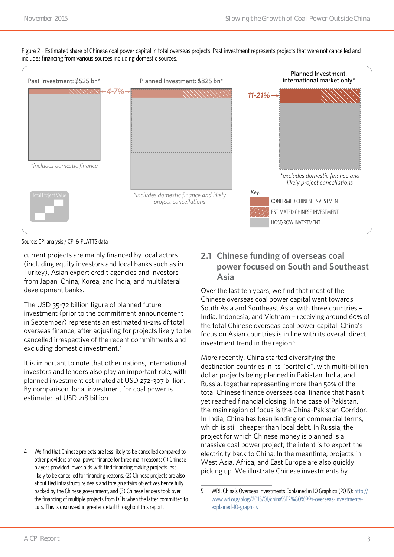

Figure 2 - Estimated share of Chinese coal power capital in total overseas projects. Past investment represents projects that were not cancelled and includes financing from various sources including domestic sources.

Source: CPI analysis / CPI & PLATTS data

current projects are mainly financed by local actors (including equity investors and local banks such as in Turkey), Asian export credit agencies and investors from Japan, China, Korea, and India, and multilateral development banks.

The USD 35-72 billion figure of planned future investment (prior to the commitment announcement in September) represents an estimated 11-21% of total overseas finance, after adjusting for projects likely to be cancelled irrespective of the recent commitments and excluding domestic investment.<sup>4</sup>

It is important to note that other nations, international investors and lenders also play an important role, with planned investment estimated at USD 272-307 billion. By comparison, local investment for coal power is estimated at USD 218 billion.

### **2.1 Chinese funding of overseas coal power focused on South and Southeast Asia**

Over the last ten years, we find that most of the Chinese overseas coal power capital went towards South Asia and Southeast Asia, with three countries – India, Indonesia, and Vietnam – receiving around 60% of the total Chinese overseas coal power capital. China's focus on Asian countries is in line with its overall direct investment trend in the region.<sup>5</sup>

More recently, China started diversifying the destination countries in its "portfolio", with multi-billion dollar projects being planned in Pakistan, India, and Russia, together representing more than 50% of the total Chinese finance overseas coal finance that hasn't yet reached financial closing. In the case of Pakistan, the main region of focus is the China-Pakistan Corridor. In India, China has been lending on commercial terms, which is still cheaper than local debt. In Russia, the project for which Chinese money is planned is a massive coal power project; the intent is to export the electricity back to China. In the meantime, projects in West Asia, Africa, and East Europe are also quickly picking up. We illustrate Chinese investments by

<sup>4</sup> We find that Chinese projects are less likely to be cancelled compared to other providers of coal power finance for three main reasons: (1) Chinese players provided lower bids with tied financing making projects less likely to be cancelled for financing reasons, (2) Chinese projects are also about tied infrastructure deals and foreign affairs objectives hence fully backed by the Chinese government, and (3) Chinese lenders took over the financing of multiple projects from DFIs when the latter committed to cuts. This is discussed in greater detail throughout this report.

<sup>5</sup> WRI, China's Overseas Investments Explained in 10 Graphics (2015): [http://](http://www.wri.org/blog/2015/01/china%E2%80%99s-overseas-investments-explained-10-graphics) [www.wri.org/blog/2015/01/china%E2%80%99s-overseas-investments](http://www.wri.org/blog/2015/01/china%E2%80%99s-overseas-investments-explained-10-graphics)[explained-10-graphics](http://www.wri.org/blog/2015/01/china%E2%80%99s-overseas-investments-explained-10-graphics)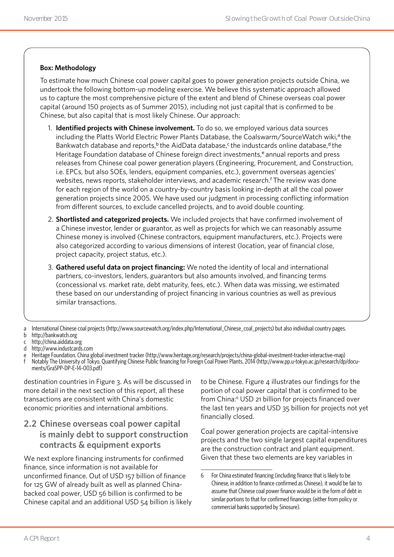#### **Box: Methodology**

To estimate how much Chinese coal power capital goes to power generation projects outside China, we undertook the following bottom-up modeling exercise. We believe this systematic approach allowed us to capture the most comprehensive picture of the extent and blend of Chinese overseas coal power capital (around 150 projects as of Summer 2015), including not just capital that is confirmed to be Chinese, but also capital that is most likely Chinese. Our approach:

- 1. **Identified projects with Chinese involvement.** To do so, we employed various data sources including the Platts World Electric Power Plants Database, the Coalswarm/SourceWatch wiki,<sup>a</sup> the Bankwatch database and reports,<sup>b</sup> the AidData database,<sup>c</sup> the industcards online database,<sup>d</sup> the Heritage Foundation database of Chinese foreign direct investments,<sup>e</sup> annual reports and press releases from Chinese coal power generation players (Engineering, Procurement, and Construction, i.e. EPCs, but also SOEs, lenders, equipment companies, etc.), government overseas agencies' websites, news reports, stakeholder interviews, and academic research.<sup>f</sup> The review was done for each region of the world on a country-by-country basis looking in-depth at all the coal power generation projects since 2005. We have used our judgment in processing conflicting information from different sources, to exclude cancelled projects, and to avoid double counting.
- 2. **Shortlisted and categorized projects.** We included projects that have confirmed involvement of a Chinese investor, lender or guarantor, as well as projects for which we can reasonably assume Chinese money is involved (Chinese contractors, equipment manufacturers, etc.). Projects were also categorized according to various dimensions of interest (location, year of financial close, project capacity, project status, etc.).
- 3. **Gathered useful data on project financing:** We noted the identity of local and international partners, co-investors, lenders, guarantors but also amounts involved, and financing terms (concessional vs. market rate, debt maturity, fees, etc.). When data was missing, we estimated these based on our understanding of project financing in various countries as well as previous similar transactions.

- e Heritage Foundation, China global investment tracker (<http://www.heritage.org/research/projects/china-global-investment-tracker-interactive-map>)
- f Notably The University of Tokyo, Quantifying Chinese Public financing for Foreign Coal Power Plants, 2014 [\(http://www.pp.u-tokyo.ac.jp/research/dp/docu](http://www.pp.u-tokyo.ac.jp/research/dp/documents/GraSPP-DP-E-14-003.pdf)[ments/GraSPP-DP-E-14-003.pdf\)](http://www.pp.u-tokyo.ac.jp/research/dp/documents/GraSPP-DP-E-14-003.pdf)

destination countries in Figure 3. As will be discussed in more detail in the next section of this report, all these transactions are consistent with China's domestic economic priorities and international ambitions.

#### **2.2 Chinese overseas coal power capital is mainly debt to support construction contracts & equipment exports**

We next explore financing instruments for confirmed finance, since information is not available for unconfirmed finance. Out of USD 157 billion of finance for 125 GW of already built as well as planned Chinabacked coal power, USD 56 billion is confirmed to be Chinese capital and an additional USD 54 billion is likely to be Chinese. Figure 4 illustrates our findings for the portion of coal power capital that is confirmed to be from China:<sup>6</sup> USD 21 billion for projects financed over the last ten years and USD 35 billion for projects not yet financially closed.

Coal power generation projects are capital-intensive projects and the two single largest capital expenditures are the construction contract and plant equipment. Given that these two elements are key variables in

a International Chinese coal projects [\(http://www.sourcewatch.org/index.php/International\\_Chinese\\_coal\\_projects](http://www.sourcewatch.org/index.php/International_Chinese_coal_projects)) but also individual country pages. b <http://bankwatch.org>

c <http://china.aiddata.org>

d <http://www.industcards.com>

<sup>6</sup> For China estimated financing (including finance that is likely to be Chinese, in addition to finance confirmed as Chinese), it would be fair to assume that Chinese coal power finance would be in the form of debt in similar portions to that for confirmed financings (either from policy or commercial banks supported by Sinosure).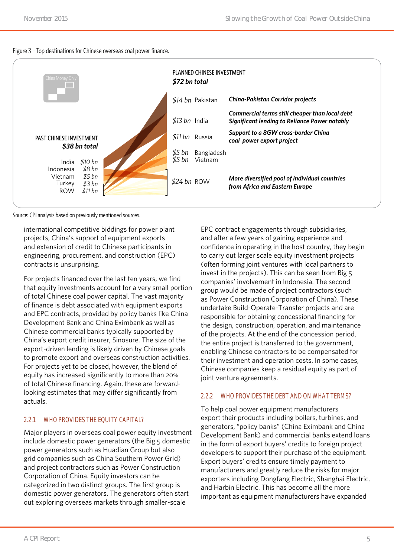#### Figure 3 – Top destinations for Chinese overseas coal power finance.



Source: CPI analysis based on previously mentioned sources.

international competitive biddings for power plant projects, China's support of equipment exports and extension of credit to Chinese participants in engineering, procurement, and construction (EPC) contracts is unsurprising.

For projects financed over the last ten years, we find that equity investments account for a very small portion of total Chinese coal power capital. The vast majority of finance is debt associated with equipment exports and EPC contracts, provided by policy banks like China Development Bank and China Eximbank as well as Chinese commercial banks typically supported by China's export credit insurer, Sinosure. The size of the export-driven lending is likely driven by Chinese goals to promote export and overseas construction activities. For projects yet to be closed, however, the blend of equity has increased significantly to more than 20% of total Chinese financing. Again, these are forwardlooking estimates that may differ significantly from actuals.

#### **2.2.1 WHO PROVIDES THE EQUITY CAPITAL?**

Major players in overseas coal power equity investment include domestic power generators (the Big 5 domestic power generators such as Huadian Group but also grid companies such as China Southern Power Grid) and project contractors such as Power Construction Corporation of China. Equity investors can be categorized in two distinct groups. The first group is domestic power generators. The generators often start out exploring overseas markets through smaller-scale

EPC contract engagements through subsidiaries, and after a few years of gaining experience and confidence in operating in the host country, they begin to carry out larger scale equity investment projects (often forming joint ventures with local partners to invest in the projects). This can be seen from Big 5 companies' involvement in Indonesia. The second group would be made of project contractors (such as Power Construction Corporation of China). These undertake Build-Operate-Transfer projects and are responsible for obtaining concessional financing for the design, construction, operation, and maintenance of the projects. At the end of the concession period, the entire project is transferred to the government, enabling Chinese contractors to be compensated for their investment and operation costs. In some cases, Chinese companies keep a residual equity as part of joint venture agreements.

#### **2.2.2 WHO PROVIDES THE DEBT AND ON WHAT TERMS?**

To help coal power equipment manufacturers export their products including boilers, turbines, and generators, "policy banks" (China Eximbank and China Development Bank) and commercial banks extend loans in the form of export buyers' credits to foreign project developers to support their purchase of the equipment. Export buyers' credits ensure timely payment to manufacturers and greatly reduce the risks for major exporters including Dongfang Electric, Shanghai Electric, and Harbin Electric. This has become all the more important as equipment manufacturers have expanded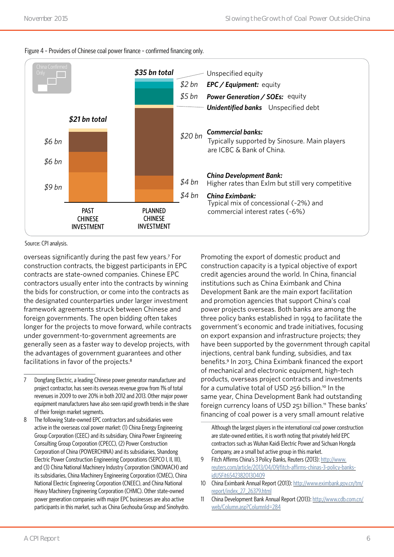

#### Figure 4 – Providers of Chinese coal power finance – confirmed financing only.

Source: CPI analysis.

overseas significantly during the past few years.<sup>7</sup> For construction contracts, the biggest participants in EPC contracts are state-owned companies. Chinese EPC contractors usually enter into the contracts by winning the bids for construction, or come into the contracts as the designated counterparties under larger investment framework agreements struck between Chinese and foreign governments. The open bidding often takes longer for the projects to move forward, while contracts under government-to-government agreements are generally seen as a faster way to develop projects, with the advantages of government guarantees and other facilitations in favor of the projects.<sup>8</sup>

Promoting the export of domestic product and construction capacity is a typical objective of export credit agencies around the world. In China, financial institutions such as China Eximbank and China Development Bank are the main export facilitation and promotion agencies that support China's coal power projects overseas. Both banks are among the three policy banks established in 1994 to facilitate the government's economic and trade initiatives, focusing on export expansion and infrastructure projects; they have been supported by the government through capital injections, central bank funding, subsidies, and tax benefits.<sup>9</sup> In 2013, China Eximbank financed the export of mechanical and electronic equipment, high-tech products, overseas project contracts and investments for a cumulative total of USD 256 billion.<sup>10</sup> In the same year, China Development Bank had outstanding foreign currency loans of USD 251 billion.<sup>11</sup> These banks' financing of coal power is a very small amount relative

Although the largest players in the international coal power construction are state-owned entities, it is worth noting that privately held EPC contractors such as Wuhan Kaidi Electric Power and Sichuan Hongda Company, are a small but active group in this market.

- 9 Fitch Affirms China's 3 Policy Banks, Reuters (2013): [http://www.](http://www.reuters.com/article/2013/04/09/fitch-affirms-chinas-3-policy-banks-idUSFit65423820130409) [reuters.com/article/2013/04/09/fitch-affirms-chinas-3-policy-banks](http://www.reuters.com/article/2013/04/09/fitch-affirms-chinas-3-policy-banks-idUSFit65423820130409)[idUSFit65423820130409](http://www.reuters.com/article/2013/04/09/fitch-affirms-chinas-3-policy-banks-idUSFit65423820130409)
- 10 China Eximbank Annual Report (2013): [http://www.eximbank.gov.cn/tm/](http://www.eximbank.gov.cn/tm/report/index_27_26379.html) [report/index\\_27\\_26379.html](http://www.eximbank.gov.cn/tm/report/index_27_26379.html)
- 11 China Development Bank Annual Report (2013): [http://www.cdb.com.cn/](http://www.cdb.com.cn/web/Column.asp?ColumnId=284) [web/Column.asp?ColumnId=284](http://www.cdb.com.cn/web/Column.asp?ColumnId=284)

<sup>7</sup> Dongfang Electric, a leading Chinese power generator manufacturer and project contractor, has seen its overseas revenue grow from 1% of total revenues in 2009 to over 20% in both 2012 and 2013. Other major power equipment manufacturers have also seen rapid growth trends in the share of their foreign market segments.

<sup>8</sup> The following State-owned EPC contractors and subsidiaries were active in the overseas coal power market: (1) China Energy Engineering Group Corporation (CEEC) and its subsidiary, China Power Engineering Consulting Group Corporation (CPECC), (2) Power Construction Corporation of China (POWERCHINA) and its subsidiaries, Shandong Electric Power Construction Engineering Corporations (SEPCO I, II, III), and (3) China National Machinery Industry Corporation (SINOMACH) and its subsidiaries, China Machinery Engineering Corporation (CMEC), China National Electric Engineering Corporation (CNEEC), and China National Heavy Machinery Engineering Corporation (CHMC). Other state-owned power generation companies with major EPC businesses are also active participants in this market, such as China Gezhouba Group and Sinohydro.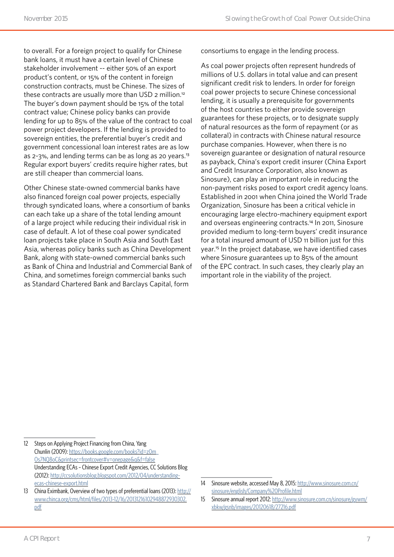to overall. For a foreign project to qualify for Chinese bank loans, it must have a certain level of Chinese stakeholder involvement -- either 50% of an export product's content, or 15% of the content in foreign construction contracts, must be Chinese. The sizes of these contracts are usually more than USD 2 million.<sup>12</sup> The buyer's down payment should be 15% of the total contract value; Chinese policy banks can provide lending for up to 85% of the value of the contract to coal power project developers. If the lending is provided to sovereign entities, the preferential buyer's credit and government concessional loan interest rates are as low as 2-3%, and lending terms can be as long as 20 years.<sup>13</sup> Regular export buyers' credits require higher rates, but are still cheaper than commercial loans.

Other Chinese state-owned commercial banks have also financed foreign coal power projects, especially through syndicated loans, where a consortium of banks can each take up a share of the total lending amount of a large project while reducing their individual risk in case of default. A lot of these coal power syndicated loan projects take place in South Asia and South East Asia, whereas policy banks such as China Development Bank, along with state-owned commercial banks such as Bank of China and Industrial and Commercial Bank of China, and sometimes foreign commercial banks such as Standard Chartered Bank and Barclays Capital, form

consortiums to engage in the lending process.

As coal power projects often represent hundreds of millions of U.S. dollars in total value and can present significant credit risk to lenders. In order for foreign coal power projects to secure Chinese concessional lending, it is usually a prerequisite for governments of the host countries to either provide sovereign guarantees for these projects, or to designate supply of natural resources as the form of repayment (or as collateral) in contracts with Chinese natural resource purchase companies. However, when there is no sovereign guarantee or designation of natural resource as payback, China's export credit insurer (China Export and Credit Insurance Corporation, also known as Sinosure), can play an important role in reducing the non-payment risks posed to export credit agency loans. Established in 2001 when China joined the World Trade Organization, Sinosure has been a critical vehicle in encouraging large electro-machinery equipment export and overseas engineering contracts.<sup>14</sup> In 2011, Sinosure provided medium to long-term buyers' credit insurance for a total insured amount of USD 11 billion just for this year.15 In the project database, we have identified cases where Sinosure guarantees up to 85% of the amount of the EPC contract. In such cases, they clearly play an important role in the viability of the project.

<sup>12</sup> Steps on Applying Project Financing from China, Yang Chunlin (2009): https://books.google.com/books?id=z0m\_ Os7NQ8oC&printsec=frontcover#v=onepage&q&f=false Understanding ECAs – Chinese Export Credit Agencies, CC Solutions Blog (2012): [http://ccsolutionsblog.blogspot.com/2012/04/understanding](http://ccsolutionsblog.blogspot.com/2012/04/understanding-ecas-chinese-export.html)[ecas-chinese-export.html](http://ccsolutionsblog.blogspot.com/2012/04/understanding-ecas-chinese-export.html)

<sup>13</sup> China Eximbank, Overview of two types of preferential loans (2013): [http://](http://www.chinca.org/cms/html/files/2013-12/16/20131216102948872930302.pdf) [www.chinca.org/cms/html/files/2013-12/16/20131216102948872930302.](http://www.chinca.org/cms/html/files/2013-12/16/20131216102948872930302.pdf) [pdf](http://www.chinca.org/cms/html/files/2013-12/16/20131216102948872930302.pdf)

<sup>14</sup> Sinosure website, accessed May 8, 2015: [http://www.sinosure.com.cn/](http://www.sinosure.com.cn/sinosure/english/Company%20Profile.html) [sinosure/english/Company%20Profile.html](http://www.sinosure.com.cn/sinosure/english/Company%20Profile.html)

<sup>15</sup> Sinosure annual report 2012: [http://www.sinosure.com.cn/sinosure/gywm/](http://www.sinosure.com.cn/sinosure/gywm/xbkw/gsnb/images/20120618/27216.pdf) [xbkw/gsnb/images/20120618/27216.pdf](http://www.sinosure.com.cn/sinosure/gywm/xbkw/gsnb/images/20120618/27216.pdf)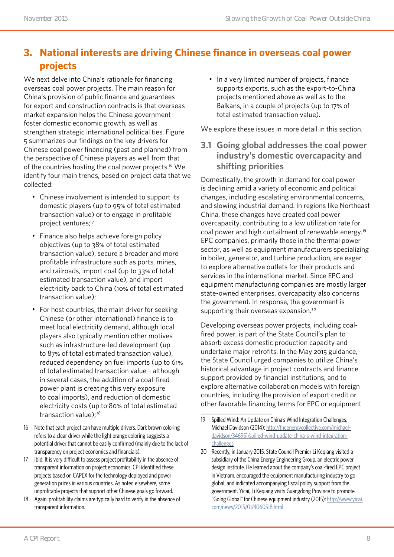# **3. National interests are driving Chinese finance in overseas coal power projects**

We next delve into China's rationale for financing overseas coal power projects. The main reason for China's provision of public finance and guarantees for export and construction contracts is that overseas market expansion helps the Chinese government foster domestic economic growth, as well as strengthen strategic international political ties. Figure 5 summarizes our findings on the key drivers for Chinese coal power financing (past and planned) from the perspective of Chinese players as well from that of the countries hosting the coal power projects.<sup>16</sup> We identify four main trends, based on project data that we collected:

- Chinese involvement is intended to support its domestic players (up to 95% of total estimated transaction value) or to engage in profitable project ventures;<sup>17</sup>
- Finance also helps achieve foreign policy objectives (up to 38% of total estimated transaction value), secure a broader and more profitable infrastructure such as ports, mines, and railroads, import coal (up to 33% of total estimated transaction value), and import electricity back to China (10% of total estimated transaction value);
- For host countries, the main driver for seeking Chinese (or other international) finance is to meet local electricity demand, although local players also typically mention other motives such as infrastructure-led development (up to 87% of total estimated transaction value), reduced dependency on fuel imports (up to 61% of total estimated transaction value – although in several cases, the addition of a coal-fired power plant is creating this very exposure to coal imports), and reduction of domestic electricity costs (up to 80% of total estimated transaction value);<sup>18</sup>

• In a very limited number of projects, finance supports exports, such as the export-to-China projects mentioned above as well as to the Balkans, in a couple of projects (up to 17% of total estimated transaction value).

We explore these issues in more detail in this section.

**3.1 Going global addresses the coal power industry's domestic overcapacity and shifting priorities**

Domestically, the growth in demand for coal power is declining amid a variety of economic and political changes, including escalating environmental concerns, and slowing industrial demand. In regions like Northeast China, these changes have created coal power overcapacity, contributing to a low utilization rate for coal power and high curtailment of renewable energy.<sup>19</sup> EPC companies, primarily those in the thermal power sector, as well as equipment manufacturers specializing in boiler, generator, and turbine production, are eager to explore alternative outlets for their products and services in the international market. Since EPC and equipment manufacturing companies are mostly larger state-owned enterprises, overcapacity also concerns the government. In response, the government is supporting their overseas expansion.<sup>20</sup>

Developing overseas power projects, including coalfired power, is part of the State Council's plan to absorb excess domestic production capacity and undertake major retrofits. In the May 2015 guidance, the State Council urged companies to utilize China's historical advantage in project contracts and finance support provided by financial institutions, and to explore alternative collaboration models with foreign countries, including the provision of export credit or other favorable financing terms for EPC or equipment

<sup>16</sup> Note that each project can have multiple drivers. Dark brown coloring refers to a clear driver while the light orange coloring suggests a potential driver that cannot be easily confirmed (mainly due to the lack of transparency on project economics and financials).

<sup>17</sup> Ibid. It is very difficult to assess project profitability in the absence of transparent information on project economics. CPI identified these projects based on CAPEX for the technology deployed and power generation prices in various countries. As noted elsewhere, some unprofitable projects that support other Chinese goals go forward.

<sup>18</sup> Again, profitability claims are typically hard to verify in the absence of transparent information.

<sup>19</sup> Spilled Wind: An Update on China's Wind Integration Challenges, Michael Davidson (2014): [http://theenergycollective.com/michael](http://theenergycollective.com/michael-davidson/346951/spilled-wind-update-china-s-wind-integration-challenges)[davidson/346951/spilled-wind-update-china-s-wind-integration](http://theenergycollective.com/michael-davidson/346951/spilled-wind-update-china-s-wind-integration-challenges)[challenges](http://theenergycollective.com/michael-davidson/346951/spilled-wind-update-china-s-wind-integration-challenges)

<sup>20</sup> Recently, in January 2015, State Council Premier Li Keqiang visited a subsidiary of the China Energy Engineering Group, an electric power design institute. He learned about the company's coal-fired EPC project in Vietnam, encouraged the equipment manufacturing industry to go global, and indicated accompanying fiscal policy support from the government. Yicai, Li Keqiang visits Guangdong Province to promote "Going Global" for Chinese equipment industry (2015): [http://www.yicai.](http://www.yicai.com/news/2015/01/4060518.html) [com/news/2015/01/4060518.html](http://www.yicai.com/news/2015/01/4060518.html)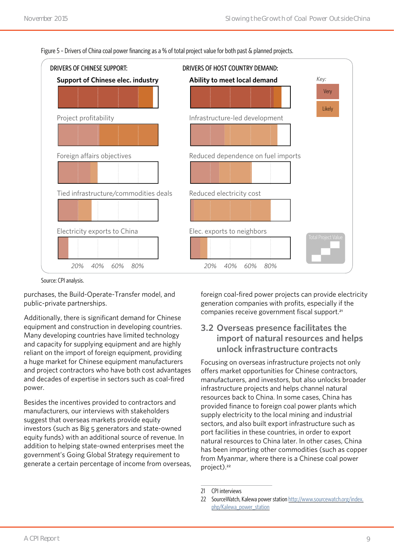

Figure 5 – Drivers of China coal power financing as a % of total project value for both past & planned projects.

Source: CPI analysis.

purchases, the Build-Operate-Transfer model, and public-private partnerships.

Additionally, there is significant demand for Chinese equipment and construction in developing countries. Many developing countries have limited technology and capacity for supplying equipment and are highly reliant on the import of foreign equipment, providing a huge market for Chinese equipment manufacturers and project contractors who have both cost advantages and decades of expertise in sectors such as coal-fired power.

Besides the incentives provided to contractors and manufacturers, our interviews with stakeholders suggest that overseas markets provide equity investors (such as Big 5 generators and state-owned equity funds) with an additional source of revenue. In addition to helping state-owned enterprises meet the government's Going Global Strategy requirement to generate a certain percentage of income from overseas, foreign coal-fired power projects can provide electricity generation companies with profits, especially if the companies receive government fiscal support.<sup>21</sup>

#### **3.2 Overseas presence facilitates the import of natural resources and helps unlock infrastructure contracts**

Focusing on overseas infrastructure projects not only offers market opportunities for Chinese contractors, manufacturers, and investors, but also unlocks broader infrastructure projects and helps channel natural resources back to China. In some cases, China has provided finance to foreign coal power plants which supply electricity to the local mining and industrial sectors, and also built export infrastructure such as port facilities in these countries, in order to export natural resources to China later. In other cases, China has been importing other commodities (such as copper from Myanmar, where there is a Chinese coal power project).<sup>22</sup>

<sup>21</sup> CPI interviews

<sup>22</sup> SourceWatch, Kalewa power station [http://www.sourcewatch.org/index.](http://www.sourcewatch.org/index.php/Kalewa_power_station) [php/Kalewa\\_power\\_station](http://www.sourcewatch.org/index.php/Kalewa_power_station)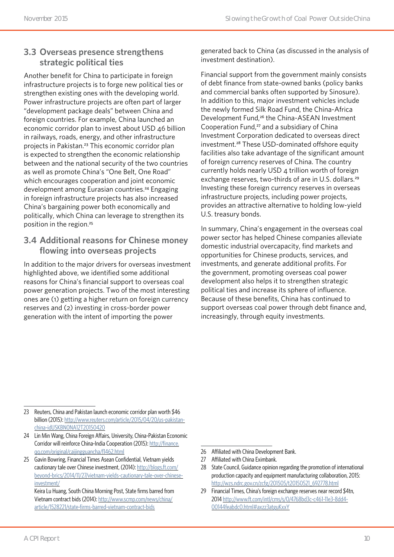### **3.3 Overseas presence strengthens strategic political ties**

Another benefit for China to participate in foreign infrastructure projects is to forge new political ties or strengthen existing ones with the developing world. Power infrastructure projects are often part of larger "development package deals" between China and foreign countries. For example, China launched an economic corridor plan to invest about USD 46 billion in railways, roads, energy, and other infrastructure projects in Pakistan.23 This economic corridor plan is expected to strengthen the economic relationship between and the national security of the two countries as well as promote China's "One Belt, One Road" which encourages cooperation and joint economic development among Eurasian countries.<sup>24</sup> Engaging in foreign infrastructure projects has also increased China's bargaining power both economically and politically, which China can leverage to strengthen its position in the region.<sup>25</sup>

### **3.4 Additional reasons for Chinese money flowing into overseas projects**

In addition to the major drivers for overseas investment highlighted above, we identified some additional reasons for China's financial support to overseas coal power generation projects. Two of the most interesting ones are (1) getting a higher return on foreign currency reserves and (2) investing in cross-border power generation with the intent of importing the power

generated back to China (as discussed in the analysis of investment destination).

Financial support from the government mainly consists of debt finance from state-owned banks (policy banks and commercial banks often supported by Sinosure). In addition to this, major investment vehicles include the newly formed Silk Road Fund, the China-Africa Development Fund,<sup>26</sup> the China-ASEAN Investment Cooperation Fund,<sup>27</sup> and a subsidiary of China Investment Corporation dedicated to overseas direct investment.28 These USD-dominated offshore equity facilities also take advantage of the significant amount of foreign currency reserves of China. The country currently holds nearly USD 4 trillion worth of foreign exchange reserves, two-thirds of are in U.S. dollars.<sup>29</sup> Investing these foreign currency reserves in overseas infrastructure projects, including power projects, provides an attractive alternative to holding low-yield U.S. treasury bonds.

In summary, China's engagement in the overseas coal power sector has helped Chinese companies alleviate domestic industrial overcapacity, find markets and opportunities for Chinese products, services, and investments, and generate additional profits. For the government, promoting overseas coal power development also helps it to strengthen strategic political ties and increase its sphere of influence. Because of these benefits, China has continued to support overseas coal power through debt finance and, increasingly, through equity investments.

25 Gavin Bowring, Financial Times Asean Confidential, Vietnam yields cautionary tale over Chinese investment, (2014): [http://blogs.ft.com/](http://blogs.ft.com/beyond-brics/2014/11/27/vietnam-yields-cautionary-tale-over-chinese-investment/) [beyond-brics/2014/11/27/vietnam-yields-cautionary-tale-over-chinese](http://blogs.ft.com/beyond-brics/2014/11/27/vietnam-yields-cautionary-tale-over-chinese-investment/)[investment/](http://blogs.ft.com/beyond-brics/2014/11/27/vietnam-yields-cautionary-tale-over-chinese-investment/)

Keira Lu Huang, South China Morning Post, State firms barred from Vietnam contract bids (2014): [http://www.scmp.com/news/china/](http://www.scmp.com/news/china/article/1528221/state-firms-barred-vietnam-contract-bids) [article/1528221/state-firms-barred-vietnam-contract-bids](http://www.scmp.com/news/china/article/1528221/state-firms-barred-vietnam-contract-bids)

26 Affiliated with China Development Bank.

<sup>23</sup> Reuters, China and Pakistan launch economic corridor plan worth \$46 billion (2015): [http://www.reuters.com/article/2015/04/20/us-pakistan](http://www.reuters.com/article/2015/04/20/us-pakistan-china-idUSKBN0NA12T20150420)[china-idUSKBN0NA12T20150420](http://www.reuters.com/article/2015/04/20/us-pakistan-china-idUSKBN0NA12T20150420)

<sup>24</sup> Lin Min Wang, China Foreign Affairs, University, China-Pakistan Economic Corridor will reinforce China-India Cooperation (2015): [http://finance.](http://finance.qq.com/original/caijingguancha/f1462.html) [qq.com/original/caijingguancha/f1462.html](http://finance.qq.com/original/caijingguancha/f1462.html)

<sup>27</sup> Affiliated with China Eximbank.

<sup>28</sup> State Council, Guidance opinion regarding the promotion of international production capacity and equipment manufacturing collaboration, 2015: [http://wzs.ndrc.gov.cn/zcfg/201505/t20150521\\_692778.html](http://wzs.ndrc.gov.cn/zcfg/201505/t20150521_692778.html)

<sup>29</sup> Financial Times, China's foreign exchange reserves near record \$4tn, 2014 http://www.ft.com/intl/cms/s/0/4768bd3c-c461-11e3-8dd4- 00144feabdc0.html#axzz3atguKxxY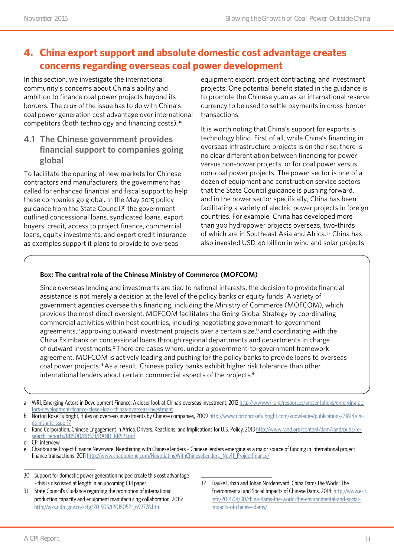# **4. China export support and absolute domestic cost advantage creates concerns regarding overseas coal power development**

In this section, we investigate the international community's concerns about China's ability and ambition to finance coal power projects beyond its borders. The crux of the issue has to do with China's coal power generation cost advantage over international competitors (both technology and financing costs).<sup>30</sup>

#### **4.1 The Chinese government provides financial support to companies going global**

To facilitate the opening of new markets for Chinese contractors and manufacturers, the government has called for enhanced financial and fiscal support to help these companies go global. In the May 2015 policy guidance from the State Council,31 the government outlined concessional loans, syndicated loans, export buyers' credit, access to project finance, commercial loans, equity investments, and export credit insurance as examples support it plans to provide to overseas

equipment export, project contracting, and investment projects. One potential benefit stated in the guidance is to promote the Chinese yuan as an international reserve currency to be used to settle payments in cross-border transactions.

It is worth noting that China's support for exports is technology blind. First of all, while China's financing in overseas infrastructure projects is on the rise, there is no clear differentiation between financing for power versus non-power projects, or for coal power versus non-coal power projects. The power sector is one of a dozen of equipment and construction service sectors that the State Council guidance is pushing forward, and in the power sector specifically, China has been facilitating a variety of electric power projects in foreign countries. For example, China has developed more than 300 hydropower projects overseas, two-thirds of which are in Southeast Asia and Africa.32 China has also invested USD 40 billion in wind and solar projects

#### **Box: The central role of the Chinese Ministry of Commerce (MOFCOM)**

Since overseas lending and investments are tied to national interests, the decision to provide financial assistance is not merely a decision at the level of the policy banks or equity funds. A variety of government agencies oversee this financing, including the Ministry of Commerce (MOFCOM), which provides the most direct oversight. MOFCOM facilitates the Going Global Strategy by coordinating commercial activities within host countries, including negotiating government-to-government agreements,<sup>a</sup> approving outward investment projects over a certain size,<sup>b</sup> and coordinating with the China Eximbank on concessional loans through regional departments and departments in charge of outward investments.<sup>c</sup> There are cases where, under a government-to-government framework agreement, MOFCOM is actively leading and pushing for the policy banks to provide loans to overseas coal power projects.<sup>d</sup> As a result, Chinese policy banks exhibit higher risk tolerance than other international lenders about certain commercial aspects of the projects.<sup>e</sup>

- 30 Support for domestic power generation helped create this cost advantage – this is discussed at length in an upcoming CPI paper.
- 31 State Council's Guidance regarding the promotion of international production capacity and equipment manufacturing collaboration, 2015: [http://wzs.ndrc.gov.cn/zcfg/201505/t20150521\\_692778.html](http://wzs.ndrc.gov.cn/zcfg/201505/t20150521_692778.html)
- 32 Frauke Urban and Johan Nordensvard, China Dams the World: The Environmental and Social Impacts of Chinese Dams. 2014: [http://www.e-ir.](http://www.e-ir.info/2014/01/30/china-dams-the-world-the-environmental-and-social-impacts-of-chinese-dams/) [info/2014/01/30/china-dams-the-world-the-environmental-and-social](http://www.e-ir.info/2014/01/30/china-dams-the-world-the-environmental-and-social-impacts-of-chinese-dams/)[impacts-of-chinese-dams/](http://www.e-ir.info/2014/01/30/china-dams-the-world-the-environmental-and-social-impacts-of-chinese-dams/)

a WRI, Emerging Actors in Development Finance: A closer look at China's overseas investment, 2012 [http://www.wri.org/resources/presentations/emerging-ac](http://www.wri.org/resources/presentations/emerging-actors-development-finance-closer-look-chinas-overseas-investment)[tors-development-finance-closer-look-chinas-overseas-investment](http://www.wri.org/resources/presentations/emerging-actors-development-finance-closer-look-chinas-overseas-investment)

b Norton Rose Fulbright, Rules on overseas investments by Chinese companies, 2009 [http://www.nortonrosefulbright.com/knowledge/publications/21814/chi](http://www.nortonrosefulbright.com/knowledge/publications/21814/china-insight-issue-17)[na-insight-issue-17](http://www.nortonrosefulbright.com/knowledge/publications/21814/china-insight-issue-17)

c Rand Corporation, Chinese Engagement in Africa. Drivers, Reactions, and Implications for U.S. Policy, 2013 [http://www.rand.org/content/dam/rand/pubs/re](http://www.rand.org/content/dam/rand/pubs/research_reports/RR500/RR521/RAND_RR521.pdf)[search\\_reports/RR500/RR521/RAND\\_RR521.pdf](http://www.rand.org/content/dam/rand/pubs/research_reports/RR500/RR521/RAND_RR521.pdf)

d CPI interview

e Chadbourne Project Finance Newswire, Negotiating with Chinese lenders – Chinese lenders emerging as a major source of funding in international project finance transactions, 2011 [http://www.chadbourne.com/NegotiatingWithChineseLenders\\_Nov11\\_Projectfinance/](http://www.chadbourne.com/NegotiatingWithChineseLenders_Nov11_Projectfinance/)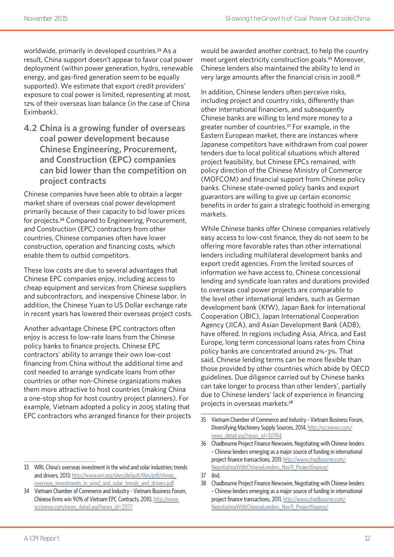worldwide, primarily in developed countries.<sup>33</sup> As a result, China support doesn't appear to favor coal power deployment (within power generation, hydro, renewable energy, and gas-fired generation seem to be equally supported). We estimate that export credit providers' exposure to coal power is limited, representing at most, 12% of their overseas loan balance (in the case of China Eximbank).

**4.2 China is a growing funder of overseas coal power development because Chinese Engineering, Procurement, and Construction (EPC) companies can bid lower than the competition on project contracts** 

Chinese companies have been able to obtain a larger market share of overseas coal power development primarily because of their capacity to bid lower prices for projects.34 Compared to Engineering, Procurement, and Construction (EPC) contractors from other countries, Chinese companies often have lower construction, operation and financing costs, which enable them to outbid competitors.

These low costs are due to several advantages that Chinese EPC companies enjoy, including access to cheap equipment and services from Chinese suppliers and subcontractors, and inexpensive Chinese labor. In addition, the Chinese Yuan to US Dollar exchange rate in recent years has lowered their overseas project costs.

Another advantage Chinese EPC contractors often enjoy is access to low-rate loans from the Chinese policy banks to finance projects. Chinese EPC contractors' ability to arrange their own low-cost financing from China without the additional time and cost needed to arrange syndicate loans from other countries or other non-Chinese organizations makes them more attractive to host countries (making China a one-stop shop for host country project planners). For example, Vietnam adopted a policy in 2005 stating that EPC contractors who arranged finance for their projects would be awarded another contract, to help the country meet urgent electricity construction goals.35 Moreover, Chinese lenders also maintained the ability to lend in very large amounts after the financial crisis in 2008.<sup>36</sup>

In addition, Chinese lenders often perceive risks, including project and country risks, differently than other international financiers, and subsequently Chinese banks are willing to lend more money to a greater number of countries.37 For example, in the Eastern European market, there are instances where Japanese competitors have withdrawn from coal power tenders due to local political situations which altered project feasibility, but Chinese EPCs remained, with policy direction of the Chinese Ministry of Commerce (MOFCOM) and financial support from Chinese policy banks. Chinese state-owned policy banks and export guarantors are willing to give up certain economic benefits in order to gain a strategic foothold in emerging markets.

While Chinese banks offer Chinese companies relatively easy access to low-cost finance, they do not seem to be offering more favorable rates than other international lenders including multilateral development banks and export credit agencies. From the limited sources of information we have access to, Chinese concessional lending and syndicate loan rates and durations provided to overseas coal power projects are comparable to the level other international lenders, such as German development bank (KfW), Japan Bank for International Cooperation (JBIC), Japan International Cooperation Agency (JICA), and Asian Development Bank (ADB), have offered. In regions including Asia, Africa, and East Europe, long term concessional loans rates from China policy banks are concentrated around 2%-3%. That said, Chinese lending terms can be more flexible than those provided by other countries which abide by OECD guidelines. Due diligence carried out by Chinese banks can take longer to process than other lenders', partially due to Chinese lenders' lack of experience in financing projects in overseas markets.<sup>38</sup>

<sup>33</sup> WRI, China's overseas investment in the wind and solar industries: trends and drivers, 2013: [http://www.wri.org/sites/default/files/pdf/chinas\\_](http://www.wri.org/sites/default/files/pdf/chinas_overseas_investments_in_wind_and_solar_trends_and_drivers.pdf) [overseas\\_investments\\_in\\_wind\\_and\\_solar\\_trends\\_and\\_drivers.pdf](http://www.wri.org/sites/default/files/pdf/chinas_overseas_investments_in_wind_and_solar_trends_and_drivers.pdf)

<sup>34</sup> Vietnam Chamber of Commerce and Industry - Vietnam Business Forum, Chinese firms win 90% of Vietnam EPC Contracts, 2010, [http://www.](http://www.vccinews.com/news_detail.asp?news_id=21177) [vccinews.com/news\\_detail.asp?news\\_id=21177](http://www.vccinews.com/news_detail.asp?news_id=21177)

<sup>35</sup> Vietnam Chamber of Commerce and Industry - Vietnam Business Forum, Diversifying Machinery Supply Sources, 2014, [http://vccinews.com/](http://vccinews.com/news_detail.asp?news_id=30784) [news\\_detail.asp?news\\_id=30784](http://vccinews.com/news_detail.asp?news_id=30784)

<sup>36</sup> Chadbourne Project Finance Newswire, Negotiating with Chinese lenders – Chinese lenders emerging as a major source of funding in international project finance transactions, 2011: [http://www.chadbourne.com/](http://www.chadbourne.com/NegotiatingWithChineseLenders_Nov11_Projectfinance/) [NegotiatingWithChineseLenders\\_Nov11\\_Projectfinance/](http://www.chadbourne.com/NegotiatingWithChineseLenders_Nov11_Projectfinance/)

<sup>37</sup> ibid.

<sup>38</sup> Chadbourne Project Finance Newswire, Negotiating with Chinese lenders – Chinese lenders emerging as a major source of funding in international project finance transactions, 2011, [http://www.chadbourne.com/](http://www.chadbourne.com/NegotiatingWithChineseLenders_Nov11_Projectfinance/) [NegotiatingWithChineseLenders\\_Nov11\\_Projectfinance/](http://www.chadbourne.com/NegotiatingWithChineseLenders_Nov11_Projectfinance/)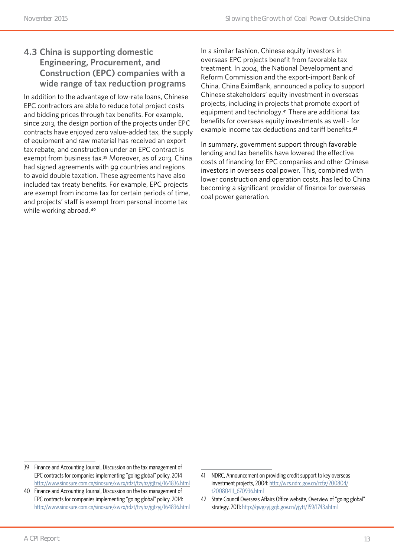### **4.3 China is supporting domestic Engineering, Procurement, and Construction (EPC) companies with a wide range of tax reduction programs**

In addition to the advantage of low-rate loans, Chinese EPC contractors are able to reduce total project costs and bidding prices through tax benefits. For example, since 2013, the design portion of the projects under EPC contracts have enjoyed zero value-added tax, the supply of equipment and raw material has received an export tax rebate, and construction under an EPC contract is exempt from business tax.39 Moreover, as of 2013, China had signed agreements with 99 countries and regions to avoid double taxation. These agreements have also included tax treaty benefits. For example, EPC projects are exempt from income tax for certain periods of time, and projects' staff is exempt from personal income tax while working abroad.<sup>40</sup>

In a similar fashion, Chinese equity investors in overseas EPC projects benefit from favorable tax treatment. In 2004, the National Development and Reform Commission and the export-import Bank of China, China EximBank, announced a policy to support Chinese stakeholders' equity investment in overseas projects, including in projects that promote export of equipment and technology.41 There are additional tax benefits for overseas equity investments as well - for example income tax deductions and tariff benefits.<sup>42</sup>

In summary, government support through favorable lending and tax benefits have lowered the effective costs of financing for EPC companies and other Chinese investors in overseas coal power. This, combined with lower construction and operation costs, has led to China becoming a significant provider of finance for overseas coal power generation.

<sup>39</sup> Finance and Accounting Journal, Discussion on the tax management of EPC contracts for companies implementing "going global" policy, 2014 <http://www.sinosure.com.cn/sinosure/xwzx/rdzt/tzyhz/gjtzyj/164836.html>

<sup>40</sup> Finance and Accounting Journal, Discussion on the tax management of EPC contracts for companies implementing "going global" policy, 2014: <http://www.sinosure.com.cn/sinosure/xwzx/rdzt/tzyhz/gjtzyj/164836.html>

<sup>41</sup> NDRC, Announcement on providing credit support to key overseas investment projects, 2004: [http://wzs.ndrc.gov.cn/zcfg/200804/](http://wzs.ndrc.gov.cn/zcfg/200804/t20080411_670936.html) [t20080411\\_670936.html](http://wzs.ndrc.gov.cn/zcfg/200804/t20080411_670936.html)

<sup>42</sup> State Council Overseas Affairs Office website, Overview of "going global" strategy, 2011: <http://qwgzyj.gqb.gov.cn/yjytt/159/1743.shtml>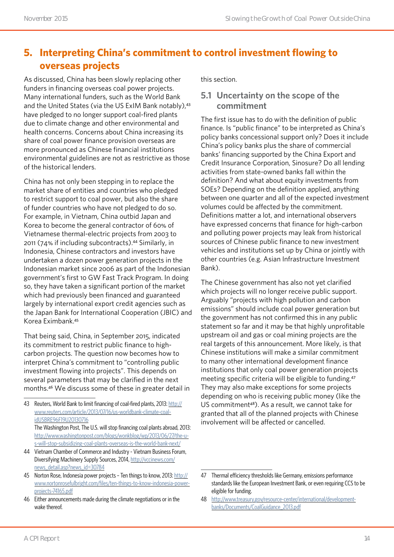# **5. Interpreting China's commitment to control investment flowing to overseas projects**

As discussed, China has been slowly replacing other funders in financing overseas coal power projects. Many international funders, such as the World Bank and the United States (via the US ExIM Bank notably), 43 have pledged to no longer support coal-fired plants due to climate change and other environmental and health concerns. Concerns about China increasing its share of coal power finance provision overseas are more pronounced as Chinese financial institutions environmental guidelines are not as restrictive as those of the historical lenders.

China has not only been stepping in to replace the market share of entities and countries who pledged to restrict support to coal power, but also the share of funder countries who have not pledged to do so. For example, in Vietnam, China outbid Japan and Korea to become the general contractor of 60% of Vietnamese thermal-electric projects from 2003 to 2011 (74% if including subcontracts).44 Similarly, in Indonesia, Chinese contractors and investors have undertaken a dozen power generation projects in the Indonesian market since 2006 as part of the Indonesian government's first 10 GW Fast Track Program. In doing so, they have taken a significant portion of the market which had previously been financed and guaranteed largely by international export credit agencies such as the Japan Bank for International Cooperation (JBIC) and Korea Eximbank.<sup>45</sup>

That being said, China, in September 2015, indicated its commitment to restrict public finance to highcarbon projects. The question now becomes how to interpret China's commitment to "controlling public investment flowing into projects". This depends on several parameters that may be clarified in the next months.46 We discuss some of these in greater detail in

- 44 Vietnam Chamber of Commerce and Industry Vietnam Business Forum, Diversifying Machinery Supply Sources, 2014, [http://vccinews.com/](http://vccinews.com/news_detail.asp?news_id=30784) [news\\_detail.asp?news\\_id=30784](http://vccinews.com/news_detail.asp?news_id=30784)
- 45 Norton Rose, Indonesia power projects Ten things to know, 2013: [http://](http://www.nortonrosefulbright.com/files/ten-things-to-know-indonesia-power-projects-74165.pdf) [www.nortonrosefulbright.com/files/ten-things-to-know-indonesia-power](http://www.nortonrosefulbright.com/files/ten-things-to-know-indonesia-power-projects-74165.pdf)[projects-74165.pdf](http://www.nortonrosefulbright.com/files/ten-things-to-know-indonesia-power-projects-74165.pdf)
- 46 Either announcements made during the climate negotiations or in the wake thereof.

this section.

#### **5.1 Uncertainty on the scope of the commitment**

The first issue has to do with the definition of public finance. Is "public finance" to be interpreted as China's policy banks concessional support only? Does it include China's policy banks plus the share of commercial banks' financing supported by the China Export and Credit Insurance Corporation, Sinosure? Do all lending activities from state-owned banks fall within the definition? And what about equity investments from SOEs? Depending on the definition applied, anything between one quarter and all of the expected investment volumes could be affected by the commitment. Definitions matter a lot, and international observers have expressed concerns that finance for high-carbon and polluting power projects may leak from historical sources of Chinese public finance to new investment vehicles and institutions set up by China or jointly with other countries (e.g. Asian Infrastructure Investment Bank).

The Chinese government has also not yet clarified which projects will no longer receive public support. Arguably "projects with high pollution and carbon emissions" should include coal power generation but the government has not confirmed this in any public statement so far and it may be that highly unprofitable upstream oil and gas or coal mining projects are the real targets of this announcement. More likely, is that Chinese institutions will make a similar commitment to many other international development finance institutions that only coal power generation projects meeting specific criteria will be eligible to funding.<sup>47</sup> They may also make exceptions for some projects depending on who is receiving public money (like the US commitment48). As a result, we cannot take for granted that all of the planned projects with Chinese involvement will be affected or cancelled.

<sup>43</sup> Reuters, World Bank to limit financing of coal-fired plants, 2013: [http://](http://www.reuters.com/article/2013/07/16/us-worldbank-climate-coal-idUSBRE96F19U20130716) [www.reuters.com/article/2013/07/16/us-worldbank-climate-coal](http://www.reuters.com/article/2013/07/16/us-worldbank-climate-coal-idUSBRE96F19U20130716)[idUSBRE96F19U20130716](http://www.reuters.com/article/2013/07/16/us-worldbank-climate-coal-idUSBRE96F19U20130716) The Washington Post, The U.S. will stop financing coal plants abroad, 2013: [http://www.washingtonpost.com/blogs/wonkblog/wp/2013/06/27/the-u](http://www.washingtonpost.com/blogs/wonkblog/wp/2013/06/27/the-u-s-will-stop-subsidizing-coal-plants-overseas-is-the-world-bank-next/)[s-will-stop-subsidizing-coal-plants-overseas-is-the-world-bank-next/](http://www.washingtonpost.com/blogs/wonkblog/wp/2013/06/27/the-u-s-will-stop-subsidizing-coal-plants-overseas-is-the-world-bank-next/)

<sup>47</sup> Thermal efficiency thresholds like Germany, emissions performance standards like the European Investment Bank, or even requiring CCS to be eligible for funding.

<sup>48</sup> [http://www.treasury.gov/resource-center/international/development](http://www.treasury.gov/resource-center/international/development-banks/Documents/CoalGuidance_2013.pdf)[banks/Documents/CoalGuidance\\_2013.pdf](http://www.treasury.gov/resource-center/international/development-banks/Documents/CoalGuidance_2013.pdf)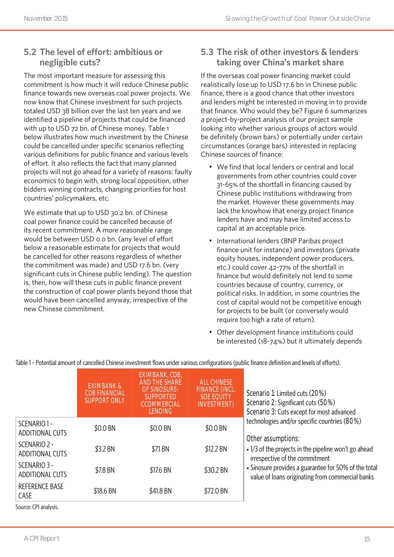### **5.2 The level of effort: ambitious or negligible cuts?**

The most important measure for assessing this commitment is how much it will reduce Chinese public finance towards new overseas coal power projects. We now know that Chinese investment for such projects totaled USD 38 billion over the last ten years and we identified a pipeline of projects that could be financed with up to USD 72 bn. of Chinese money. Table 1 below illustrates how much investment by the Chinese could be cancelled under specific scenarios reflecting various definitions for public finance and various levels of effort. It also reflects the fact that many planned projects will not go ahead for a variety of reasons: faulty economics to begin with, strong local opposition, other bidders winning contracts, changing priorities for host countries' policymakers, etc.

We estimate that up to USD 30.2 bn. of Chinese coal power finance could be cancelled because of its recent commitment. A more reasonable range would be between USD 0.0 bn. (any level of effort below a reasonable estimate for projects that would be cancelled for other reasons regardless of whether the commitment was made) and USD 17.6 bn. (very significant cuts in Chinese public lending). The question is, then, how will these cuts in public finance prevent the construction of coal power plants beyond those that would have been cancelled anyway, irrespective of the new Chinese commitment.

#### **5.3 The risk of other investors & lenders taking over China's market share**

If the overseas coal power financing market could realistically lose up to USD 17.6 bn in Chinese public finance, there is a good chance that other investors and lenders might be interested in moving in to provide that finance. Who would they be? Figure 6 summarizes a project-by-project analysis of our project sample looking into whether various groups of actors would be definitely (brown bars) or potentially under certain circumstances (orange bars) interested in replacing Chinese sources of finance:

- We find that local lenders or central and local governments from other countries could cover 31-65% of the shortfall in financing caused by Chinese public institutions withdrawing from the market. However these governments may lack the knowhow that energy project finance lenders have and may have limited access to capital at an acceptable price.
- International lenders (BNP Paribas project finance unit for instance) and investors (private equity houses, independent power producers, etc.) could cover 42-77% of the shortfall in finance but would definitely not lend to some countries because of country, currency, or political risks. In addition, in some countries the cost of capital would not be competitive enough for projects to be built (or conversely would require too high a rate of return).
- Other development finance institutions could be interested (18-74%) but it ultimately depends

|                                       | <b>EXIMBANK &amp;</b><br><b>CDB FINANCIAL</b><br><b>SUPPORT ONLY</b> | <b>EXIMBANK, CDB,</b><br><b>AND THE SHARE</b><br><b>OF SINOSURE-</b><br><b>SUPPORTED</b><br><b>CCOMMERCIAL</b><br><b>LENDING</b> | <b>ALL CHINESE</b><br><b>FINANCE (INCL.</b><br><b>SOE EQUITY</b><br><b>INVESTMENT</b> ) | Scenario 1: Limited cuts (20%)<br>Scenario 2: Significant cuts (50%)<br>Scenario 3: Cuts except for most advanced |
|---------------------------------------|----------------------------------------------------------------------|----------------------------------------------------------------------------------------------------------------------------------|-----------------------------------------------------------------------------------------|-------------------------------------------------------------------------------------------------------------------|
| SCENARIO 1-<br><b>ADDITIONAL CUTS</b> | \$0.0 BN                                                             | \$0.0 BN                                                                                                                         | \$0.0 BN                                                                                | technologies and/or specific countries (80%)                                                                      |
| SCENARIO 2 -<br>ADDITIONAL CUTS       | \$3.2 BN                                                             | \$7.1 BN                                                                                                                         | \$12.2 BN                                                                               | Other assumptions:<br>• 1/3 of the projects in the pipeline won't go ahead<br>irrespective of the commitment      |
| SCENARIO 3 -<br>ADDITIONAL CUTS       | \$7.8 BN                                                             | \$17.6 BN                                                                                                                        | \$30.2 BN                                                                               | • Sinosure provides a guarantee for 50% of the total<br>value of loans originating from commercial banks          |
| <b>REFERENCE BASE</b><br>CASE         | \$18.6 BN                                                            | \$41.8 BN                                                                                                                        | \$72.0 BN                                                                               |                                                                                                                   |
| Source: CPI analysis.                 |                                                                      |                                                                                                                                  |                                                                                         |                                                                                                                   |

Table 1 – Potential amount of cancelled Chinese investment flows under various configurations (public finance definition and levels of efforts).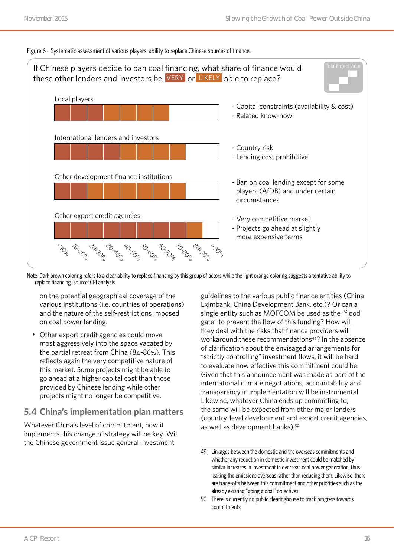#### Figure 6 – Systematic assessment of various players' ability to replace Chinese sources of finance.



Note: Dark brown coloring refers to a clear ability to replace financing by this group of actors while the light orange coloring suggests a tentative ability to replace financing. Source: CPI analysis.

on the potential geographical coverage of the various institutions (i.e. countries of operations) and the nature of the self-restrictions imposed on coal power lending.

• Other export credit agencies could move most aggressively into the space vacated by the partial retreat from China (84-86%). This reflects again the very competitive nature of this market. Some projects might be able to go ahead at a higher capital cost than those provided by Chinese lending while other projects might no longer be competitive.

#### **5.4 China's implementation plan matters**

Whatever China's level of commitment, how it implements this change of strategy will be key. Will the Chinese government issue general investment

guidelines to the various public finance entities (China Eximbank, China Development Bank, etc.)? Or can a single entity such as MOFCOM be used as the "flood gate" to prevent the flow of this funding? How will they deal with the risks that finance providers will workaround these recommendations<sup>49</sup>? In the absence of clarification about the envisaged arrangements for "strictly controlling" investment flows, it will be hard to evaluate how effective this commitment could be. Given that this announcement was made as part of the international climate negotiations, accountability and transparency in implementation will be instrumental. Likewise, whatever China ends up committing to, the same will be expected from other major lenders (country-level development and export credit agencies, as well as development banks).50

<sup>49</sup> Linkages between the domestic and the overseas commitments and whether any reduction in domestic investment could be matched by similar increases in investment in overseas coal power generation, thus leaking the emissions overseas rather than reducing them. Likewise, there are trade-offs between this commitment and other priorities such as the already existing "going global" objectives.

<sup>50</sup> There is currently no public clearinghouse to track progress towards commitments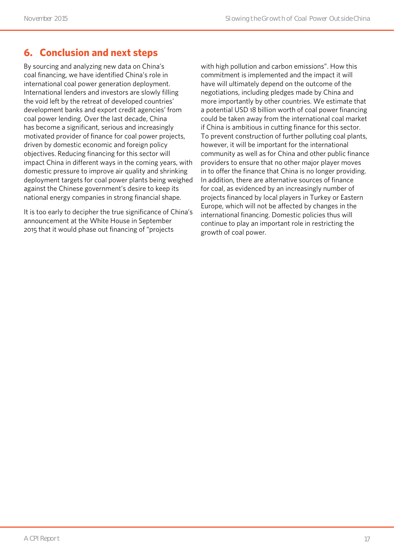# **6. Conclusion and next steps**

By sourcing and analyzing new data on China's coal financing, we have identified China's role in international coal power generation deployment. International lenders and investors are slowly filling the void left by the retreat of developed countries' development banks and export credit agencies' from coal power lending. Over the last decade, China has become a significant, serious and increasingly motivated provider of finance for coal power projects, driven by domestic economic and foreign policy objectives. Reducing financing for this sector will impact China in different ways in the coming years, with domestic pressure to improve air quality and shrinking deployment targets for coal power plants being weighed against the Chinese government's desire to keep its national energy companies in strong financial shape.

It is too early to decipher the true significance of China's announcement at the White House in September 2015 that it would phase out financing of "projects

with high pollution and carbon emissions". How this commitment is implemented and the impact it will have will ultimately depend on the outcome of the negotiations, including pledges made by China and more importantly by other countries. We estimate that a potential USD 18 billion worth of coal power financing could be taken away from the international coal market if China is ambitious in cutting finance for this sector. To prevent construction of further polluting coal plants, however, it will be important for the international community as well as for China and other public finance providers to ensure that no other major player moves in to offer the finance that China is no longer providing. In addition, there are alternative sources of finance for coal, as evidenced by an increasingly number of projects financed by local players in Turkey or Eastern Europe, which will not be affected by changes in the international financing. Domestic policies thus will continue to play an important role in restricting the growth of coal power.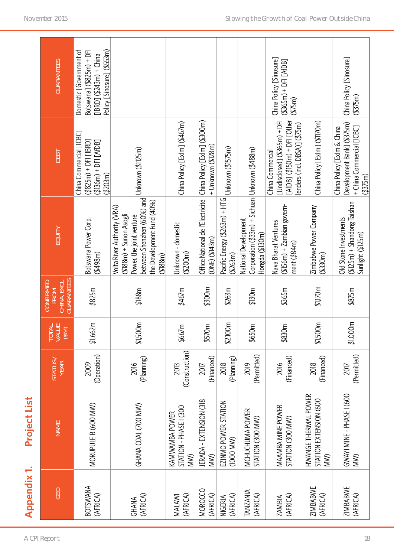| <b>Appendix 1.</b>          | Project List                                          |                        |                         |                                                               |                                                                                                                                                                                 |                                                                                                                         |                                                                                                               |
|-----------------------------|-------------------------------------------------------|------------------------|-------------------------|---------------------------------------------------------------|---------------------------------------------------------------------------------------------------------------------------------------------------------------------------------|-------------------------------------------------------------------------------------------------------------------------|---------------------------------------------------------------------------------------------------------------|
| GEO                         | <b>NAME</b>                                           | STATUS                 | TOTAL<br>VALUE<br>(\$M) | CHINA, EXCL.<br>GUARANTEES<br><b>CONFIRMED</b><br><b>FROM</b> | <b>EQUITY</b>                                                                                                                                                                   | DEBT                                                                                                                    | <b>GUARANTEES</b>                                                                                             |
| <b>BOTSWANA</b><br>(AFRICA) | MORUPULE B (600 MW)                                   | (Operation)<br>2009    | \$1,662m                | \$825m                                                        | Botswana Power Corp.<br>(4498m)                                                                                                                                                 | China Commercial [ICBC]<br>$(3825m) + DF$ [IBRD]<br>$( $136m) + DFI [AfDB]$<br>(4203m)                                  | Botswana] (\$825m) + DFI<br>Policy [Sinosure] (\$553m)<br>Domestic [Government of<br>[IBRD] $(5243m) +$ China |
| (AFRICA)<br><b>GHANA</b>    | GHANA COAL (700 MW)                                   | (Planning)<br>2016     | \$1,500m                | \$188m                                                        | between Shenzhen (60%) and Unknown (\$1125m)<br>the Development Fund (40%)<br>Volta River Authority (VRA)<br>$( $188m) +$ Sunon Asogli<br>Power, the joint venture<br>( \$188m) |                                                                                                                         |                                                                                                               |
| (AFRICA)<br><b>MALAWI</b>   | STATION - PHASE I (300<br>KAMWAMBA POWER<br>MW)       | (Construction)<br>2013 | \$667m                  | \$467m                                                        | Unknown - domestic<br>(5200m)                                                                                                                                                   | China Policy [Exlm] (\$467m)                                                                                            |                                                                                                               |
| MOROCCO<br>(AFRICA)         | JERADA - EXTENSION (318<br>MW)                        | (Financed)<br>2017     | \$570m                  | \$300m                                                        | Office National de l'Electricité   China Policy [Exlm] (\$300m)<br>(ONE) (\$143m)                                                                                               | + Unknown (\$128m)                                                                                                      |                                                                                                               |
| (AFRICA)<br><b>NIGERIA</b>  | EZINMO POWER STATION<br>(1000 MW)                     | (Planning)<br>2018     | \$2,100m                | \$263m                                                        | Pacific Energy (\$263m) + HTG Unknown (\$1575m)<br>( \$263m)                                                                                                                    |                                                                                                                         |                                                                                                               |
| <b>TANZANIA</b><br>(AFRICA) | MCHUCHUMA POWER<br>STATION (300 MW)                   | (Permitted)<br>2019    | \$650m                  | \$130m                                                        | Corporation (\$33m) + Sichuan   Unknown (\$488m)<br>National Development<br>Hongda (\$130m)                                                                                     |                                                                                                                         |                                                                                                               |
| (AFRICA)<br>ZAMBIA          | MAAMBA MINE POWER<br>STATION (300 MW)                 | (Financed)<br>2016     | \$830m                  | \$365m                                                        | $( $156m) + Z$ ambian govern-<br>Nava Bharat Ventures<br>ment (\$84m)                                                                                                           | [AfDB] $( $150m) + DF$ [Other<br>[Undisclosed] $($ \$365m $)$ + DFI<br>enders (incl. DBSA)] (\$75m)<br>China Commercial | China Policy [Sinosure]<br>$(3365m) + DFI [AfDB]$<br>(475m)                                                   |
| <b>ZIMBABWE</b><br>(AFRICA) | HWANGE THERMAL POWER<br>STATION EXTENSION (600<br>WM) | (Financed)<br>2018     | \$1,500m                | \$1,170m                                                      | Zimbabwe Power Company<br>$($ \$330m)                                                                                                                                           | China Policy [Exlm] (\$1170m)                                                                                           |                                                                                                               |
| <b>ZIMBABWE</b><br>(AFRICA) | GWAYI MINE - PHASE I (600<br>MW)                      | (Permitted)<br>2017    | \$1,000m                | \$875m                                                        | $( $125m) +$ Shandong Taishan<br>Old Stone Investments<br>Sunlight (\$125m)                                                                                                     | Development Bank] (\$375m)<br>+ China Commercial [ICBC]<br>China Policy [Exlm & China<br>$($ \$375m)                    | China Policy [Sinosure]<br>(1375m)                                                                            |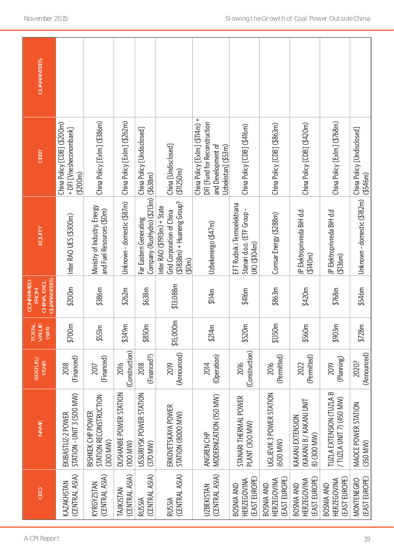|                               | <b>NAME</b>                                          | STATUS /<br>YEAR       | <b>TOTAL</b><br>VALUE<br>(M <sub>6</sub> ) | <b>GUARANTEES</b><br>CHINA, EXCL.<br><b>CONFIRMED</b><br><b>FROM</b> | EQUITY                                                                                           | DEBT                                                                                                        | <b>GUARANTEES</b> |
|-------------------------------|------------------------------------------------------|------------------------|--------------------------------------------|----------------------------------------------------------------------|--------------------------------------------------------------------------------------------------|-------------------------------------------------------------------------------------------------------------|-------------------|
| EKIBASTUZ-2 POWER             | STATION - UNIT 3 (500 MW)                            | (Financed)<br>2018     | \$700m                                     | \$200m                                                               | Inter RAO UES (\$300m)                                                                           | China Policy [CDB] (\$200m)<br>+ DFI [Vnesheconombank]<br>(5200m)                                           |                   |
| BISHKEK CHP POWER<br>(300 MW) | STATION RECONSTRUCTION                               | (Financed)<br>2017     | \$551m                                     | \$386m                                                               | Ministry of Industry, Energy<br>and Fuel Resources (\$0m)                                        | China Policy [Exlm] (\$386m)                                                                                |                   |
| (100 M/W)                     | DUSHANBE POWER STATION                               | (Construction)<br>2016 | \$349m                                     | \$262m                                                               | Unknown - domestic (\$87m)                                                                       | China Policy [Exlm] (\$262m)                                                                                |                   |
| (370 MW)                      | USSURIYSK POWER STATION                              | (Financed?)<br>2018    | \$850m                                     | \$638m                                                               | Company (RusHydro) (\$213m) (\$638m)<br>Far Eastern Generating                                   | China Policy [Undisclosed]                                                                                  |                   |
|                               | ERKOVETSKAYA POWER<br>STATION (8000 MW)              | (Announced)<br>2019    | \$15,000m                                  | \$13,088m                                                            | $($1838m) + Huaneng Group?$<br>Inter RAO (\$1913m) + State<br>Grid Corporation of China<br>(50m) | China [Undisclosed]<br>( \$11250m)                                                                          |                   |
| ANGREN CHP                    | MODERNIZATION (150 MW)                               | (Operation)<br>2014    | \$214m                                     | \$114m                                                               | Uzbekenergo (\$47m)                                                                              | China Policy [Exlm] (\$114m) +<br>DFI [Fund for Reconstruction<br>and Development of<br>Uzbekistan] (\$53m) |                   |
|                               | STANARI THERMAL POWER<br>PLANT (300 MW)              | (Construction)<br>2016 | \$520m                                     | \$416m                                                               | EFT Rudnik i Termoelektrana<br>Stanari d.o.o. (ETF Group -<br>UK) (\$104m)                       | China Policy [CDB] (\$416m)                                                                                 |                   |
| (600 MW)                      | UGLJEVIK 3 POWER STATION                             | (Permitted)<br>2016    | \$1,150m                                   | \$863m                                                               | Comsar Energy (\$288m)                                                                           | China Policy [CDB] (\$863m)                                                                                 |                   |
| 8) (300 MW)                   | (KAKANJ B / KAKANJ UNIT<br>KAKANJ EXTENSION          | (Permitted)<br>2022    | \$560m                                     | \$420m                                                               | JP Elektroprivreda BiH d.d<br>(140m)                                                             | China Policy [CDB] (\$420m)                                                                                 |                   |
|                               | TUZLA EXTENSION (TUZLA B<br>/ TUZLA UNIT 7) (450 MW) | (Planning)<br>2019     | \$903m                                     | \$768m                                                               | JP Elektroprivreda BiH d.d<br>( \$136m)                                                          | China Policy [Exlm] (\$768m)                                                                                |                   |
| (350 MW)                      | MAOCE POWER STATION                                  | (Announced)<br>2020?   | \$728m                                     | \$546m                                                               | Unknown - domestic (\$182m)                                                                      | China Policy [Undisclosed]<br>( \$546m)                                                                     |                   |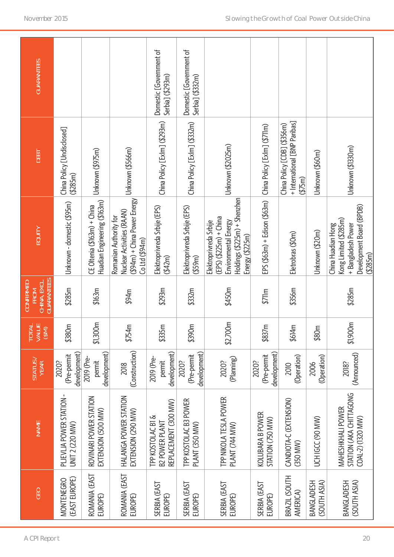| <b>GUARANTEES</b>                                             |                                           |                                                             |                                                                                                             | Domestic [Government of<br>Serbia] (\$293m)                        | Domestic [Government of<br>Serbia] (\$332m)           |                                                                                                                                |                                      |                                                                          |                                   |                                                                                                            |
|---------------------------------------------------------------|-------------------------------------------|-------------------------------------------------------------|-------------------------------------------------------------------------------------------------------------|--------------------------------------------------------------------|-------------------------------------------------------|--------------------------------------------------------------------------------------------------------------------------------|--------------------------------------|--------------------------------------------------------------------------|-----------------------------------|------------------------------------------------------------------------------------------------------------|
| DEBT                                                          | China Policy [Undisclosed]<br>(285m)      | Unknown (\$975m)                                            | Unknown (\$566m)                                                                                            | China Policy [Exlm] (\$293m)                                       | China Policy [Exlm] (\$332m)                          | Unknown (\$2025m)                                                                                                              | China Policy [Exlm] (\$711m)         | + International [BNP Paribas]<br>China Policy [CDB] (\$356m)<br>( \$75m) | Unknown (\$60m)                   | Unknown (\$1330m)                                                                                          |
| EQUITY                                                        | Unknown - domestic (\$95m)                | Huadian Engineering (\$163m)<br>CE Oltenia (\$163m) + China | $(394m)$ + China Power Energy<br>Nuclear Activities (RAAN)<br>Romanian Authority for<br>$Co$ Ltd $($ \$94m) | Elektroprivreda Srbije (EPS)<br>(42m)                              | Elektroprivreda Srbije (EPS)<br>( \$59 <sub>m</sub> ) | Holdings (\$225m) + Shenzhen<br>$(EPS)$ $($225m) + China$<br>Environmental Energy<br>Elektroprivreda Srbije<br>Energy (\$225m) | $EPS( $63m) + Edison( $63m)$         | Eletrobras (\$0m)                                                        | Unknown (\$20m)                   | Development Board (BPDB)<br>Kong Limited (\$285m)<br>China Huadian Hong<br>+ Bangladesh Power<br>( \$285m) |
| CHINA, EXCL.<br>GUARANTEES<br><b>CONFIRMED</b><br><b>FROM</b> | \$285m                                    | \$163m                                                      | \$94m                                                                                                       | \$293m                                                             | \$332m                                                | \$450m                                                                                                                         | \$711m                               | \$356m                                                                   |                                   | \$285m                                                                                                     |
| TOTAL<br>VALUE<br>(\$M)                                       | \$380m                                    | \$1,300m                                                    | \$754m                                                                                                      | \$335m                                                             | \$390m                                                | \$2,700m                                                                                                                       | \$837m                               | \$614m                                                                   | \$80m                             | \$1,900m                                                                                                   |
| STATUS/<br>YEAR                                               | development)<br>(Pre-permit<br>2020?      | development)<br>2019 (Pre-<br>permit                        | (Construction)<br>2018                                                                                      | development)<br>2019 (Pre-<br>permit                               | development)<br>(Pre-permit<br>2020?                  | (Planning)<br>2020?                                                                                                            | development)<br>(Pre-permit<br>2020? | (Operation)<br>2010                                                      | (Operation)<br>2006               | (Announced)<br>2018?                                                                                       |
| <b>NAME</b>                                                   | PLIEVLJA POWER STATION<br>UNIT 2 (220 MW) | ROVINARI POWER STATION<br>EXTENSION (500 MW)                | HALANGA POWER STATION<br>EXTENSION (290 MW)                                                                 | REPLACEMENT (300 MW)<br>TPP KOSTOLAC BI &<br><b>B2 POWER PLANT</b> | TPP KOSTOLAC B3 POWER<br>PLANT (350 MW)               | TPP NIKOLA TESLA POWER<br>PLANT (744 MW)                                                                                       | KOLUBARA B POWER<br>STATION (750 MW) | CANDIOTA-C (EXTENSION)<br>(350 MW)                                       | UCHIGCC (90 MW)                   | STATION (AKA CHITTAGONG<br><b>MAHESHKHALI POWER</b><br>COAL-2) (1320 MW)                                   |
| GEO                                                           | (EAST EUROPE)<br>MONTENEGRO               | ROMANIA (EAST<br>EUROPE)                                    | ROMANIA (EAST<br>EUROPE)                                                                                    | SERBIA (EAST<br>EUROPE)                                            | SERBIA (EAST<br>EUROPE)                               | SERBIA (EAST<br>EUROPE)                                                                                                        | SERBIA (EAST<br>EUROPE)              | BRAZIL (SOUTH<br>AMERICA)                                                | (SOUTH ASIA)<br><b>BANGLADESH</b> | (SOUTH ASIA)<br><b>BANGLADESH</b>                                                                          |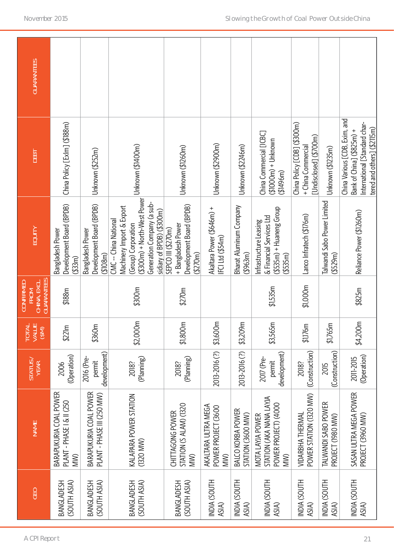| <b>GUARANTEES</b>                                             |                                                            |                                                        |                                                                                                                                                                     |                                                                                 |                                                   |                                        |                                                                                                |                                                                             |                                          |                                                                                                                            |
|---------------------------------------------------------------|------------------------------------------------------------|--------------------------------------------------------|---------------------------------------------------------------------------------------------------------------------------------------------------------------------|---------------------------------------------------------------------------------|---------------------------------------------------|----------------------------------------|------------------------------------------------------------------------------------------------|-----------------------------------------------------------------------------|------------------------------------------|----------------------------------------------------------------------------------------------------------------------------|
| DEBT                                                          | China Policy [Exlm] (\$188m)                               | Unknown (\$252m)                                       | Unknown (\$1400m)                                                                                                                                                   | Unknown (\$1260m)                                                               | Unknown (\$2900m)                                 | Unknown (\$2246m)                      | China Commercial [ICBC]<br>$(1000m) + Unknown$<br>(31496m)                                     | China Policy [CDB] (\$300m)<br>[Undisclosed] (\$700m)<br>+ China Commercial | Unknown (\$1235m)                        | China Various [CDB, Exim, and<br>International [Standard char-<br>tered and others] (\$2115m)<br>Bank of China] (\$825m) + |
| <b>EQUITY</b>                                                 | Development Board (BPDB)<br>Bangladesh Power<br>( \$33m)   | Development Board (BPDB)<br>Bangladesh Power<br>(108m) | (\$300m) + North-West Power<br>Generation Company (a sub-<br>Machinery Import & Export<br>sidiary of BPDB) (\$300m)<br>CMC -- China National<br>(Group) Corporation | Development Board (BPDB)<br>+ Bangladesh Power<br>SEPCO III (\$270m)<br>(1270m) | Akaltara Power (\$646m) +<br>IFCI Ltd (\$54m)     | Bharat Aluminum Company<br>(4963m)     | $( $535m) + H$ uaneng Group<br>& Financial Services Ltd<br>Infrastructure Leasing<br>( \$535m) | Lanco Infratech (\$176m)                                                    | Talwandi Sabo Power Limited<br>(4529m)   | Reliance Power (\$1260m)                                                                                                   |
| CHINA, EXCL.<br>GUARANTEES<br><b>CONFIRMED</b><br><b>FROM</b> | \$188m                                                     |                                                        | \$300m                                                                                                                                                              | \$270m                                                                          |                                                   |                                        | \$1,535m                                                                                       | \$1,000m                                                                    |                                          | \$825m                                                                                                                     |
| 로픽<br><b>EDIRE</b><br>DIRECT                                  | \$221m                                                     | \$360m                                                 | \$2,000m                                                                                                                                                            | \$1,800m                                                                        | \$3,600m                                          | \$3,209m                               | \$3,565m                                                                                       | \$1,176m                                                                    | \$1,765m                                 | \$4,200m                                                                                                                   |
| STATUS/<br>YEAR                                               | (Operation)<br>2006                                        | development)<br>2016 (Pre-<br>permit                   | (Planning)<br>2018?                                                                                                                                                 | (Planning)<br>2018?                                                             | 2013-2016 (?)                                     | 2013-2016 (?)                          | development)<br>2017 (Pre-<br>permit                                                           | (Construction)<br>2018?                                                     | (Construction)<br>2015                   | (Operation)<br>2011-2015                                                                                                   |
| <b>NAME</b>                                                   | BARAPUKURIA COAL POWER<br>PLANT - PHASE I & II (250<br>MW) | BARAPUKURIA COAL POWER<br>PLANT - PHASE III (250 MW)   | KALAPARA POWER STATION<br>(1320 MW)                                                                                                                                 | STATION (S ALAM) (1320<br>CHITTAGONG POWER<br>MW)                               | AKALTARA ULTRA MEGA<br>POWER PROJECT (3600<br>MW) | BALCO KORBA POWER<br>STATION (3600 MW) | STATION (AKA NANA LAYJA<br>POWER PROJECT) (4000<br>MOTA LAYJA POWER<br>MW)                     | POWER STATION (1320 MW)<br>VIDARBHA THERMAL                                 | TALWANDI SABO POWER<br>PROJECT (1980 MW) | SASAN ULTRA MEGA POWER<br>PROJECT (3960 MW)                                                                                |
| GEO                                                           | BANGLADESH<br>(SOUTH ASIA)                                 | (SOUTH ASIA)<br><b>BANGLADESH</b>                      | <b>BANGLADESH</b><br>(SOUTH ASIA)                                                                                                                                   | (SOUTH ASIA)<br><b>BANGLADESH</b>                                               | INDIA (SOUTH<br>ASIA)                             | INDIA (SOUTH<br>ASIA)                  | INDIA (SOUTH<br>ASIA)                                                                          | INDIA (SOUTH<br>ASIA)                                                       | INDIA (SOUTH<br>ASIA)                    | INDIA (SOUTH<br>ASIA)                                                                                                      |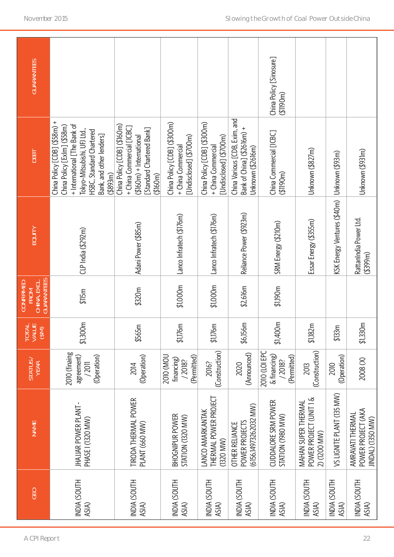| <b>GEO</b>                   | <b>NAME</b>                                                      | STATUS/<br>YEAR                                        | <b>TOTAL</b><br>VALUE<br>(M <sub>3</sub> ) | GUARANTEES<br><b>CONFIRMED</b><br>CHINA, EXCL<br>FROM | EQUITY                                        | DEBT                                                                                                                                                                                          | <b>GUARANTEES</b>                  |
|------------------------------|------------------------------------------------------------------|--------------------------------------------------------|--------------------------------------------|-------------------------------------------------------|-----------------------------------------------|-----------------------------------------------------------------------------------------------------------------------------------------------------------------------------------------------|------------------------------------|
| INDIA (SOUTH<br>ASIA)        | <b>JHAJJAR POWER PLANT-</b><br>PHASE I (1320 MW)                 | 2010 (finaing<br>agreement)<br>(Operation)<br>/2011    | \$1,300m                                   | \$115m                                                | CLP India (\$292m)                            | China Policy [CDB] (\$58m) +<br>+ International [The Bank of<br>China Policy [Exlm] (\$58m)<br>Tokyo-Mitsubishi, UFJ Ltd.,<br>HSBC, Standard Chartered<br>Bank, and other lenders]<br>(4893m) |                                    |
| INDIA (SOUTH<br>ASIA)        | TIRODA THERMAL POWER<br>PLANT (660 MW)                           | (Operation)<br>2014                                    | \$565m                                     | \$320m                                                | Adani Power (\$85m)                           | China Policy [CDB] (\$160m)<br>+ China Commercial [ICBC]<br>[Standard Chartered Bank]<br>$( $160m) + Intematical$<br>(3160m)                                                                  |                                    |
| INDIA (SOUTH<br>ASIA)        | <b>BHOGNIPUR POWER</b><br>STATION (1320 MW)                      | (Permitted)<br>2010 (MOL<br>financing)<br>/2018?       | \$1,176m                                   | \$1,000m                                              | Lanco Infratech (\$176m)                      | China Policy [CDB] (\$300m)<br>[Undisclosed] (\$700m)<br>+ China Commercial                                                                                                                   |                                    |
| INDIA (SOUTH<br>ASIA)        | THERMAL POWER PROJECT<br>LANCO AMARKANTAK<br>$(1320$ MW)         | (Construction)<br>2016?                                | \$1,176m                                   | \$1,000m                                              | Lanco Infratech (\$176m)                      | China Policy [CDB] (\$300m)<br>[Undisclosed] (\$700m)<br>+ China Commercial                                                                                                                   |                                    |
| INDIA (SOUTH<br>ASIA)        | (6156.14973262032 MW)<br>POWER PROJECTS<br><b>OTHER RELIANCE</b> | (Announced)<br>2020                                    | \$6,156m                                   | \$2,616m                                              | Reliance Power (\$923m)                       | China Various [CDB, Exim, and<br>Bank of China] (\$2616m) +<br>Unknown (\$2616m)                                                                                                              |                                    |
| INDIA (SOUTH<br>ASIA)        | CUDDALORE SRM POWER<br>STATION (1980 MW)                         | 2010 (LOI EPC<br>& financing)<br>(Permitted)<br>/2018? | \$1,400m                                   | \$1,190m                                              | SRM Energy (\$210m)                           | China Commercial [ICBC]<br>(\$1190m)                                                                                                                                                          | China Policy [Sinosure]<br>(1190m) |
| <b>NDIA (SOUTH</b><br>ASIA)  | POWER PROJECT (UNIT 1 &<br>MAHAN SUPER THERMAL<br>2) (1200 MW)   | (Construction)<br>2013                                 | \$1,182m                                   |                                                       | Essar Energy (\$355m)                         | Unknown (\$827m)                                                                                                                                                                              |                                    |
| <b>INDIA (SOUTH</b><br>ASIA) | VS LIGNITE PLANT (135 MW)                                        | (Operation)<br>2010                                    | \$133m                                     |                                                       | KSK Energy Ventures (\$40m)   Unknown (\$93m) |                                                                                                                                                                                               |                                    |
| <b>NDIA (SOUTH</b><br>ASIA)  | POWER PROJECT (AKA<br>AMRAVATI THERMAL<br>JINDAL) (1350 MW)      | 2008 (X)                                               | \$1,330m                                   |                                                       | RattanIndia Power Ltd.<br>( \$399m)           | Unknown (\$931m)                                                                                                                                                                              |                                    |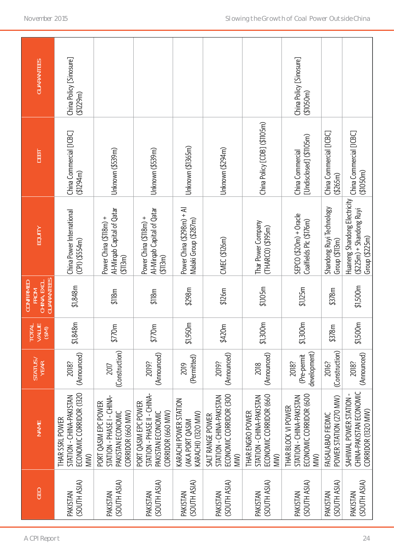| <b>GUARANTEES</b>                                      | China Policy [Sinosure]<br>( \$1229m)                                         |                                                                                              |                                                                                                             |                                                                |                                                                               |                                                                               | China Policy [Sinosure]<br>(1050m)                                               |                                               |                                                                            |
|--------------------------------------------------------|-------------------------------------------------------------------------------|----------------------------------------------------------------------------------------------|-------------------------------------------------------------------------------------------------------------|----------------------------------------------------------------|-------------------------------------------------------------------------------|-------------------------------------------------------------------------------|----------------------------------------------------------------------------------|-----------------------------------------------|----------------------------------------------------------------------------|
| <b>DEBT</b>                                            | China Commercial [ICBC]<br>(1294m)                                            | Unknown (\$539m)                                                                             | Unknown (\$539m)                                                                                            | Unknown (\$1365m)                                              | Unknown (\$294m)                                                              | China Policy [CDB] (\$1105m)                                                  | [Undisclosed] (\$1105m)<br>China Commercial                                      | China Commercial [ICBC]<br>$($ \$265m)        | China Commercial [ICBC]<br>(1050m)                                         |
| <b>EQUITY</b>                                          | China Power International<br>(CP1) ( \$554m)                                  | Al-Mirgab Capital of Qatar<br>Power China (\$118m) +<br>(113m)                               | Al-Mirgab Capital of Qatar<br>Power China (\$118m) +<br>(113m)                                              | Power China (\$298m) + Al<br>Malaki Group (\$287m)             | CMEC (\$126m)                                                                 | Thar Power Company<br>(THARCO) (\$195m)                                       | $S F C O ( $20m) + 0$ racle<br>Coalfields Plc (\$176m)                           | Shandong Ruyi Technology<br>Group $(\$$ 113m) | Huaneng Shandong Electricity<br>$(225m)$ + Shandong Ruyi<br>Group (\$225m) |
| GUARANTEES<br>CHINA, EXCL.<br><b>CONFIRMED</b><br>FROM | \$1,848m                                                                      | \$118m                                                                                       | \$118m                                                                                                      | \$298m                                                         | \$126m                                                                        | \$1,105m                                                                      | \$1,125m                                                                         | \$378m                                        | \$1,500m                                                                   |
| 岂<br>₹                                                 | \$1,848m                                                                      | \$770m                                                                                       | \$770m                                                                                                      | \$1,950m                                                       | \$420m                                                                        | \$1,300m                                                                      | \$1,300m                                                                         | \$378m                                        | \$1,500m                                                                   |
| STATUS                                                 | (Announced)<br>2018?                                                          | (Construction)<br>2017                                                                       | (Announced)<br>2019?                                                                                        | (Permitted)<br>2019                                            | (Announced)<br>2019?                                                          | (Announced)<br>2018                                                           | development)<br>(Pre-permit<br>2018?                                             | (Construction)<br>2016?                       | (Announced)<br>2018?                                                       |
| <b>NAME</b>                                            | ECONOMIC CORRIDOR (1320<br>STATION - CHINA-PAKISTAN<br>THAR SSRL POWER<br>WW) | STATION - PHASE I - CHINA-<br>PORT QASIM EPC POWER<br>CORRIDOR (660 MW)<br>PAKISTAN ECONOMIC | -A-<br>UHIU - I - PHASE II - ZOIL<br>UHIN<br>PORT QASIM EPC POWER<br>CORRIDOR (660 MW)<br>PAKISTAN ECONOMIC | KARACHI POWER STATION<br>KARACHI) (1320 MW)<br>(AKA PORT QASIM | ECONOMIC CORRIDOR (300<br>STATION - CHINA-PAKISTAN<br>SALT RANGE POWER<br>WW) | ECONOMIC CORRIDOR (660<br>STATION - CHINA-PAKISTAN<br>THAR ENGRO POWER<br>WW) | ECONOMIC CORRIDOR (600<br>STATION - CHINA-PAKISTAN<br>THAR BLOCK VI POWER<br>MW) | POWER STATION (270 MW)<br>FAISALABAD FIEDMC   | CHINA-PAKISTAN ECONOMIC<br>SAHIWAL POWER STATION<br>CORRIDOR (1320 MW)     |
| GEO                                                    | (SOUTH ASIA)<br>PAKISTAN                                                      | (SOUTH ASIA)<br>PAKISTAN                                                                     | (SOUTH ASIA)<br>PAKISTAN                                                                                    | (SOUTH ASIA)<br>PAKISTAN                                       | (SOUTH ASIA)<br>PAKISTAN                                                      | (SOUTH ASIA)<br>PAKISTAN                                                      | (SOUTH ASIA)<br>PAKISTAN                                                         | (SOUTH ASIA)<br>PAKISTAN                      | (SOUTH ASIA)<br>PAKISTAN                                                   |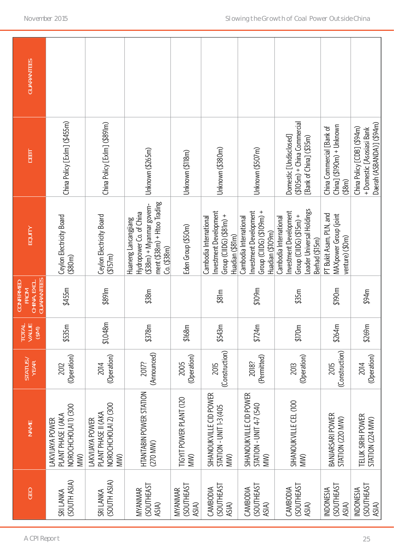| GEO                                            | <b>NAME</b>                                                           | STATUS /<br>YEAR       | TOTAL<br>VALUE<br>(SM) | CHINA, EXCL.<br>GUARANTEES<br><b>CONFIRMED</b><br><b>FROM</b> | EQUITY                                                                                                                                    | DEBT                                                                                 | <b>GUARANTEES</b> |
|------------------------------------------------|-----------------------------------------------------------------------|------------------------|------------------------|---------------------------------------------------------------|-------------------------------------------------------------------------------------------------------------------------------------------|--------------------------------------------------------------------------------------|-------------------|
| (SOUTH ASIA)<br>SRI LANKA                      | NOROCHCHOLAI 1) (300<br>PLANT PHASE I (AKA<br>LAKVIJAYA POWER<br>WW)  | (Operation)<br>2012    | \$535m                 | \$455m                                                        | Ceylon Electricity Board<br>( \$80m)                                                                                                      | China Policy [Exlm] (\$455m)                                                         |                   |
| (SOUTH ASIA)<br>SRI LANKA                      | NOROCHCHOLAI 2) (300<br>PLANT PHASE II (AKA<br>LAKVIJAYA POWER<br>MW) | (Operation)<br>2014    | \$1,048m               | $$89$ lm                                                      | Ceylon Electricity Board<br>( \$157m)                                                                                                     | China Policy [Exlm] (\$891m)                                                         |                   |
| <b>(SOUTHEAST</b><br>MYANMAR<br>ASIA)          | HTANTABIN POWER STATION<br>(270 MW)                                   | (Announced)<br>2017?   | \$378m                 | \$38m                                                         | ment (\$38m) + Htoo Trading<br>$(338m)$ + Myanmar govern-<br>Hydropower Co. of China<br>Huaneng Lancangjiang<br>Co. ( \$38 <sub>m</sub> ) | Unknown (\$265m)                                                                     |                   |
| <b>(SOUTHEAST</b><br>MYANMAR<br>ASIA)          | TIGYIT POWER PLANT (120<br>MW)                                        | (Operation)<br>2005    | \$168m                 |                                                               | Eden Group (\$50m)                                                                                                                        | Unknown (\$118m)                                                                     |                   |
| <b>(SOUTHEAST</b><br>CAMBODIA<br>ASIA)         | SIHANOUKVILLE CID POWER<br>STATION - UNIT 1-3 (405<br>MW)             | (Construction)<br>2015 | \$543m                 | \$81m                                                         | Investment Development<br>Group (CIIDG) $($ \$81m) +<br>Cambodia International<br>Huadian (\$81m)                                         | Unknown (\$380m)                                                                     |                   |
| <b>(SOUTHEAST</b><br>CAMBODIA<br>ASIA)         | SIHANOUKVILLE CID POWER<br>STATION - UNIT 4-7 (540<br>MW)             | (Permitted)<br>2018?   | \$724m                 | \$109m                                                        | Investment Development<br>Group (CIIDG) (\$109m) +<br>Cambodia International<br>Huadian (\$109m)                                          | Unknown (\$507m)                                                                     |                   |
| <b>(SOUTHEAST</b><br>CAMBODIA<br>ASIA)         | SIHANOUKVILLE CEL (100<br>MW)                                         | (Operation)<br>2013    | \$170m                 | \$35m                                                         | Leader Universal Holdings<br>Investment Development<br>Group (CIIDG) $($ \$15m) +<br>Cambodia International<br>Berhad (\$15m)             | $( $105m) + China Commercial$<br>Domestic [Undisclosed]<br>[Bank of China] (\$35m)   |                   |
| <b>(SOUTHEAST</b><br><b>INDONESIA</b><br>ASIA) | <b>BANJARSARI POWER</b><br>STATION (220 MW)                           | (Construction)<br>2015 | \$264m                 | \$190m                                                        | PT Bukit Asam, PLN, and<br>MAXpower Group (joint<br>venture) (\$0m)                                                                       | $China]$ (\$190m) + Unknown<br>China Commercial [Bank of<br>$($ \$8m)                |                   |
| <b>(SOUTHEAST</b><br><b>INDONESIA</b><br>ASIA) | TELUK SIRIH POWER<br>STATION (224 MW)                                 | (Operation)<br>2014    | \$269m                 | \$94m                                                         |                                                                                                                                           | Daerah (ASBANDA)] (\$94m)<br>China Policy [CDB] (\$94m)<br>+ Domestic [Asosiasi Bank |                   |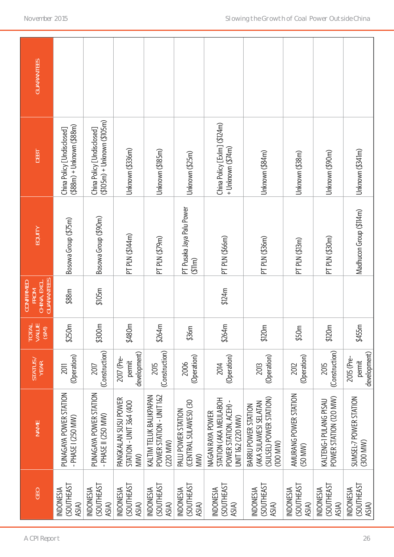| GEO                                            | <b>NAME</b>                                                                                | STATUS/<br>YEAR                      | TOTAL<br>VALUE<br>(\$M) | CHINA, EXCL.<br>GUARANTEES<br><b>CONFIRMED</b><br><b>FROM</b> | EQUITY                              | DEBT                                                        | <b>GUARANTEES</b> |
|------------------------------------------------|--------------------------------------------------------------------------------------------|--------------------------------------|-------------------------|---------------------------------------------------------------|-------------------------------------|-------------------------------------------------------------|-------------------|
| <b>SOUTHEAST</b><br><b>INDONESIA</b><br>ASIA)  | PUNAGAYA POWER STATION<br>- PHASE I (250 MW)                                               | (Operation)<br>2011                  | \$250m                  | \$88m                                                         | Bosowa Group (\$75m)                | (\$88m) + Unknown (\$88m)<br>China Policy [Undisclosed]     |                   |
| <b>(SOUTHEAST</b><br><b>INDONESIA</b><br>ASIA) | PUNAGAYA POWER STATION<br>- PHASE II (250 MW)                                              | (Construction)<br>2017               | \$300m                  | \$105m                                                        | Bosowa Group (\$90m)                | $( $105m) + Unknown ( $105m)$<br>China Policy [Undisclosed] |                   |
| <b>(SOUTHEAST</b><br><b>INDONESIA</b><br>ASIA) | PANGKALAN SUSU POWER<br>STATION - UNIT 3&4 (400<br>MW)                                     | development)<br>2017 (Pre-<br>permit | \$480m                  |                                                               | PT PLN (\$144m)                     | Unknown (\$336m)                                            |                   |
| <b>SOUTHEAST</b><br><b>INDONESIA</b><br>ASIA)  | POWER STATION - UNIT 1&2<br>KALTIM TELUK BALIKPAPAN<br>(220 MW)                            | (Construction)<br>2015               | \$264m                  |                                                               | PT PLN (\$79m)                      | Unknown (\$185m)                                            |                   |
| <b>CSOUTHEAST</b><br><b>INDONESIA</b><br>ASIA) | (CENTRAL SULAWESI) (30<br>PALU POWER STATION<br>MW)                                        | (Operation)<br>2006                  | \$36m                   |                                                               | PT Pusaka Jaya Palu Power<br>(311m) | Unknown (\$25m)                                             |                   |
| (SOUTHEAST<br><b>INDONESIA</b><br>ASIA)        | STATION (AKA MEULABOH<br>POWER STATION, ACEH) -<br>NAGAN RAYA POWER<br>UNIT 1&2 (220 MW)   | (Operation)<br>2014                  | \$264m                  | \$124m                                                        | PT PLN (\$66m)                      | China Policy [Exlm] (\$124m)<br>+ Unknown (\$74m)           |                   |
| <b>SOUTHEAST</b><br><b>INDONESIA</b><br>ASIA)  | (SULSEL) POWER STATION)<br>(AKA SULAWESI SELATAN<br><b>BARRU POWER STATION</b><br>(100 MW) | (Operation)<br>2013                  | \$120m                  |                                                               | PT PLN (\$36m)                      | Unknown (\$84m)                                             |                   |
| <b>(SOUTHEAST</b><br><b>INDONESIA</b><br>ASIA) | AMURANG POWER STATION<br>(50 MW)                                                           | (Operation)<br>2012                  | \$50m                   |                                                               | PT PLN (\$13m)                      | Unknown (\$38m)                                             |                   |
| <b>(SOUTHEAST</b><br><b>INDONESIA</b><br>ASIA) | POWER STATION (120 MW)<br>KALTENG-1 PULANG PISAU                                           | (Construction)<br>2015               | \$120m                  |                                                               | PT PLN (\$30m)                      | Unknown (\$90m)                                             |                   |
| (SOUTHEAST<br><b>INDONESIA</b><br>ASIA)        | SUMSEL-7 POWER STATION<br>(300 MW)                                                         | development)<br>2015 (Pre-<br>permit | \$455m                  |                                                               | Madhucon Group (\$114m)             | Unknown (\$341m)                                            |                   |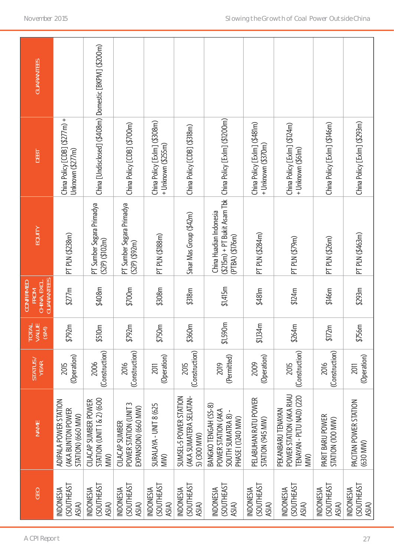| GEO                                            | <b>NAME</b>                                                                         | STATUS /<br>YEAR           | TOTAL<br>VALUE<br>(\$M) | CHINA, EXCL.<br>GUARANTEES<br><b>CONFIRMED</b><br><b>FROM</b> | <b>EQUITY</b>                                                                                              | DEBT                                                  | <b>GUARANTEES</b> |
|------------------------------------------------|-------------------------------------------------------------------------------------|----------------------------|-------------------------|---------------------------------------------------------------|------------------------------------------------------------------------------------------------------------|-------------------------------------------------------|-------------------|
| <b>(SOUTHEAST</b><br><b>INDONESIA</b><br>ASIA) | ADIPALA POWER STATION<br>(AKA BUNTON POWER<br>STATION) (660 MW)                     | (Operation)<br>2015        | \$792m                  | \$277m                                                        | PT PLN (\$238m)                                                                                            | China Policy [CDB] (\$277m) +<br>Unknown (\$277m)     |                   |
| <b>SOUTHEAST</b><br><b>INDONESIA</b><br>ASIA)  | <b>STATION (UNIT 1 &amp; 2) (600</b><br><b>CILACAP SUMBER POWER</b><br>WM)          | (Construction)<br>2006     | \$510m                  | \$408m                                                        | PT Sumber Segara Primadya<br>$(S2P)$ $($102m)$                                                             | China [Undisclosed] (\$408m) Domestic [BKPM] (\$200m) |                   |
| <b>(SOUTHEAST</b><br><b>INDONESIA</b><br>ASIA) | POWER STATION (UNIT 3<br>EXPANSION) (660 MW)<br><b>CILACAP SUMBER</b>               | (Construction)<br>2016     | \$792m                  | \$700m                                                        | PT Sumber Segara Primadya<br>(S2P)(\$92m)                                                                  | China Policy [CDB] (\$700m)                           |                   |
| <b>(SOUTHEAST</b><br><b>INDONESIA</b><br>ASIA) | SURALAYA - UNIT 8 (625<br>WW)                                                       | (Operation)<br>2011        | \$750m                  | \$308m                                                        | PT PLN (\$188m)                                                                                            | China Policy [Exlm] (\$308m)<br>+ Unknown (\$255m)    |                   |
| <b>(SOUTHEAST</b><br><b>INDONESIA</b><br>ASIA) | SUMSEL-5 POWER STATION<br>(AKA SUMATERA SELATAN-<br>5) (300 MW)                     | (Construction)<br>2015     | \$360m                  | \$318m                                                        | Sinar Mas Group (\$42m)                                                                                    | China Policy [CDB] (\$318m)                           |                   |
| <b>(SOUTHEAST</b><br><b>INDONESIA</b><br>ASIA) | BANGKO TENGAH (SS-8)<br>POWER STATION (AKA<br>SOUTH SUMATRA 8)<br>PHASE I (1240 MW) | (Permitted)<br>2019        | \$1,590m                | \$1,415m                                                      | (\$215m) + PT Bukit Asam Tbk   China Policy [Exlm] (\$1200m)<br>China Huadian Indonesia<br>(PTBA) (\$176m) |                                                       |                   |
| <b>(SOUTHEAST</b><br><b>INDONESIA</b><br>ASIA) | PELABUHAN RATU POWER<br>STATION (945 MW)                                            | (Operation)<br>2009        | \$1,134m                | \$481m                                                        | PT PLN (\$284m)                                                                                            | China Policy [Exlm] (\$481m)<br>+ Unknown (\$370m)    |                   |
| <b>(SOUTHEAST</b><br><b>INDONESIA</b><br>ASIA) | POWER STATION (AKA RIAU<br>TENAYAN - PLTU NAD) (220<br>PEKANBARU TENAYAN<br>WW)     | (Construction)<br>2015     | \$264m                  | \$124m                                                        | PT PLN (\$79m)                                                                                             | China Policy [Exlm] (\$124m)<br>+ Unknown (\$61m)     |                   |
| <b>(SOUTHEAST</b><br><b>INDONESIA</b><br>ASIA) | PARIT BARU POWER<br>STATION (100 MW)                                                | (Construction)<br>2016     | \$172m                  | \$146m                                                        | PT PLN (\$26m)                                                                                             | China Policy [Exlm] (\$146m)                          |                   |
| (SOUTHEAST<br><b>INDONESIA</b><br>ASIA)        | PACITAN POWER STATION<br>(630 MW)                                                   | (Operation)<br><b>2011</b> | \$756m                  | \$293m                                                        | PT PLN (\$463m)                                                                                            | China Policy [Exlm] (\$293m)                          |                   |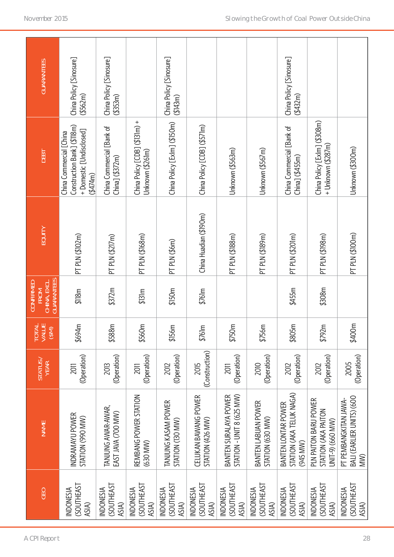| <b>GEO</b>                            | <b>NAME</b>                                                      | STATUS /<br>YEAR           | <b>TOTAL</b><br>VALUE<br>∈<br>త్ | CHINA, EXCL.<br>GUARANTEES<br><b>CONFIRMED</b><br><b>FROM</b> | EQUITY                 | DEBT                                                                                         | <b>GUARANTEES</b>                      |
|---------------------------------------|------------------------------------------------------------------|----------------------------|----------------------------------|---------------------------------------------------------------|------------------------|----------------------------------------------------------------------------------------------|----------------------------------------|
| <b>(SOUTHEAST</b><br><b>INDONESIA</b> | INDRAMAYU POWER<br>STATION (990 MW)                              | (Operation)<br>2011        | \$694m                           | \$118m                                                        | PT PLN (\$102m)        | Construction Bank] (\$118m)<br>+Domestic [Undisclosed]<br>China Commercial [China<br>(4474m) | China Policy [Sinosure]<br>( \$562m\$) |
| <b>(SOUTHEAST</b><br><b>INDONESIA</b> | TANJUNG AWAR-AWAR,<br>EAST JAVA (700 MW)                         | (Operation)<br>2013        | \$588m                           | \$372m                                                        | PT PLN (\$217m)        | China Commercial [Bank of<br>$ChinaJ ($ $$372m)$                                             | China Policy [Sinosure]<br>(\$353m)    |
| <b>(SOUTHEAST</b><br><b>INDONESIA</b> | REMBANG POWER STATION<br>(630 MW)                                | (Operation)<br>2011        | \$560m                           | \$131m                                                        | PT PLN (\$168m)        | China Policy [CDB] (\$131m) +<br>Unknown (\$261m)                                            |                                        |
| <b>SOUTHEAST</b><br><b>INDONESIA</b>  | TANJUNG KASAM POWER<br>STATION (130 MW)                          | (Operation)<br>2012        | \$156m                           | \$150m                                                        | PT PLN (\$6m)          | China Policy [Exlm] (\$150m)                                                                 | China Policy [Sinosure]<br>(43m)       |
| (SOUTHEAST<br><b>INDONESIA</b>        | CELUKAN BAWANG POWER<br>STATION (426 MW)                         | (Construction)<br>2015     | \$761m                           | \$761m                                                        | China Huadian (\$190m) | China Policy [CDB] (\$571m)                                                                  |                                        |
| <b>SOUTHEAST</b><br><b>INDONESIA</b>  | STATION - UNIT 8 (625 MW)<br>BANTEN SURALAYA POWER               | (Operation)<br><b>2011</b> | \$750m                           |                                                               | PT PLN (\$188m)        | Unknown (\$563m)                                                                             |                                        |
| <b>(SOUTHEAST</b><br><b>INDONESIA</b> | BANTEN LABUAN POWER<br>STATION (630 MW)                          | (Operation)<br>2010        | \$756m                           |                                                               | PT PLN (\$189m)        | Unknown (\$567m)                                                                             |                                        |
| <b>(SOUTHEAST</b><br><b>INDONESIA</b> | STATION (AKA TELUK NAGA)<br>BANTEN LONTAR POWER<br>(945 MW)      | (Operation)<br>2012        | \$805m                           | \$455m                                                        | PT PLN (\$201m)        | China Commercial [Bank of<br>$China]$ $($ \$455m)                                            | China Policy [Sinosure]<br>(432m)      |
| (SOUTHEAST<br><b>INDONESIA</b>        | PLN PAITON BARU POWER<br>STATION (AKA PAITON<br>UNIT-9) (660 MW) | (Operation)<br>2012        | \$792m                           | \$308m                                                        | PT PLN (\$198m)        | China Policy [Exlm] (\$308m)<br>+ Unknown (\$287m)                                           |                                        |
| <b>(SOUTHEAST</b><br><b>INDONESIA</b> | BALI (EARLIER UNITS) (600<br>PT PEMBANGKITAN JAWA-<br>MW)        | (Operation)<br>2005        | \$400m                           |                                                               | PT PLN (\$100m)        | Unknown (\$300m)                                                                             |                                        |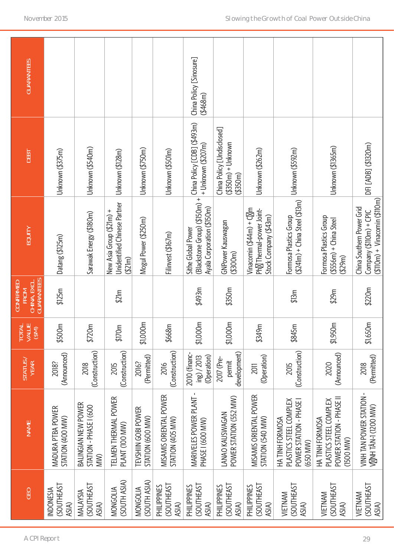| <b>GUARANTEES</b>                                                    |                                               |                                                             |                                                                    |                                         |                                            | China Policy [Sinosure]<br>(4468m)                                                                            |                                                                   |                                                                                |                                                                                  |                                                                                    |                                                                                             |
|----------------------------------------------------------------------|-----------------------------------------------|-------------------------------------------------------------|--------------------------------------------------------------------|-----------------------------------------|--------------------------------------------|---------------------------------------------------------------------------------------------------------------|-------------------------------------------------------------------|--------------------------------------------------------------------------------|----------------------------------------------------------------------------------|------------------------------------------------------------------------------------|---------------------------------------------------------------------------------------------|
| DEBT                                                                 | Unknown (\$375m)                              | Unknown (\$540m)                                            | Unknown (\$128m)                                                   | Unknown (\$750m)                        | Unknown (\$501m)                           | + Unknown (\$207m)                                                                                            | China Policy [Undisclosed]<br>$($ \$350m $)$ + Unknown<br>(4350m) | Unknown (\$262m)                                                               | Unknown (\$592m)                                                                 | Unknown (\$1365m)                                                                  | DFI [ADB] (\$1320m)                                                                         |
| <b>EQUITY</b>                                                        | Datang (\$125m)                               | Sarawak Energy (\$180m)                                     | Unidentified Chinese Partner<br>New Asia Group (\$21m) +<br>(521m) | Mogul Power (\$250m)                    | Filinvest (\$167m)                         | (Blackstone Group) (\$150m) + China Policy [CDB] (\$493m)<br>Ayala Corporation (\$150m)<br>Sithe Global Power | GNPower Kauswagan<br>( \$300m)                                    | Vinacomin $($ \$44m) + C m<br>Ph Thermal-power Joint-<br>Stock Company (\$43m) | $(5241m) +$ China Steel $(513m)$<br>Formosa Plastics Group                       | Formosa Plastics Group<br>$( $556m) + China$ Steel<br>(429m)                       | $($ \$110m $)$ + Vinacomin (\$110m)<br>China Southern Power Grid<br>$Company($110m) + CPIC$ |
| <b>GUARANTEES</b><br>CHINA, EXCL.<br><b>CONFIRMED</b><br><b>FROM</b> | \$125m                                        |                                                             | \$21m                                                              |                                         |                                            | \$493m                                                                                                        | \$350m                                                            |                                                                                | \$13m                                                                            | \$29m                                                                              | \$220m                                                                                      |
| TOTAL<br>VALUE<br>(\$M)                                              | \$500m                                        | \$720m                                                      | \$170m                                                             | \$1,000m                                | \$668m                                     | \$1,000m                                                                                                      | \$1,000m                                                          | \$349m                                                                         | \$845m                                                                           | \$1,950m                                                                           | \$1,650m                                                                                    |
| STATUS                                                               | (Announced)<br>2018?                          | (Construction)<br>2018                                      | (Construction)<br>2015                                             | (Permitted)<br>2016?                    | (Construction)<br>2016                     | 2010 (financ-<br>(Operation)<br>$ing$ $/2013$                                                                 | development)<br>2017 (Pre-<br>permit                              | (Operation)<br>2011                                                            | (Construction)<br>2015                                                           | (Announced)<br>2020                                                                | (Permitted)<br>2018                                                                         |
| <b>NAME</b>                                                          | MADURA PTBA POWER<br>STATION (400 MW)         | <b>BALINGIAN NEW POWER</b><br>STATION - PHASE I (600<br>MW) | TELMEN THERMAL POWER<br>PLANT (100 MW)                             | TEVSHIIN GOBI POWER<br>STATION (600 MW) | MISAMIS ORIENTAL POWER<br>STATION (405 MW) | MARIVELES POWER PLANT-<br>PHASE I (600 MW)                                                                    | POWER STATION (552 MW)<br>LANAO KAUSWAGAN                         | MISAMIS ORIENTAL POWER<br>STATION (540 MW)                                     | PLASTICS STEEL COMPLEX<br>POWER STATION - PHASE I<br>HA TINH FORMOSA<br>(650 MW) | POWER STATION - PHASE II<br>PLASTICS STEEL COMPLEX<br>HA TINH FORMOSA<br>(1500 MW) | VINH TAN POWER STATION -<br>V NH TÂN-1 (1200 MW)                                            |
| GEO                                                                  | <b>SOUTHEAST</b><br><b>INDONESIA</b><br>ASIA) | <b>CSOUTHEAST</b><br>MALAYSIA<br>ASIA)                      | (SOUTH ASIA)<br>MONGOLIA                                           | (SOUTH ASIA)<br>MONGOLIA                | <b>(SOUTHEAST</b><br>PHILIPPINES<br>ASIA)  | <b>CSOUTHEAST</b><br>PHILIPPINES<br>ASIA)                                                                     | <b>(SOUTHEAST</b><br>PHILIPPINES<br>ASIA)                         | <b>(SOUTHEAST</b><br>PHILIPPINES<br>ASIA)                                      | <b>(SOUTHEAST</b><br>VIETNAM<br>ASIA)                                            | <b>(SOUTHEAST</b><br>VIETNAM<br>ASIA)                                              | <b>(SOUTHEAST</b><br>VIETNAM<br>ASIA)                                                       |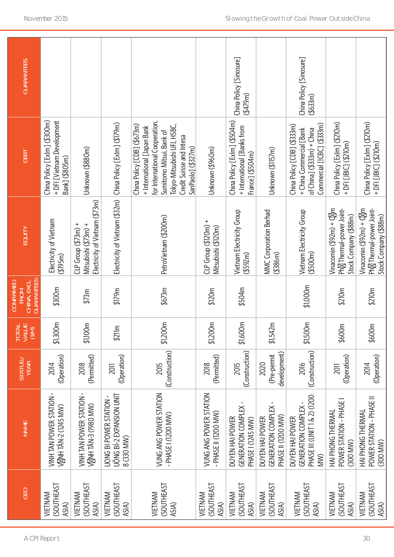| GEO | <b>NAME</b>                                                                   | STATUS                              | TOTAL<br>VALUE<br>(\$M) | CHINA, EXCL.<br>GUARANTEES<br><b>CONFIRMED</b><br><b>FROM</b> | EQUITY                                                                           | <b>DEBT</b>                                                                                                                                                                                               | <b>GUARANTEES</b>                    |
|-----|-------------------------------------------------------------------------------|-------------------------------------|-------------------------|---------------------------------------------------------------|----------------------------------------------------------------------------------|-----------------------------------------------------------------------------------------------------------------------------------------------------------------------------------------------------------|--------------------------------------|
|     | VINH TAN POWER STATION<br>V NH TÂN-2 (1245 MW)                                | (Operation)<br>2014                 | \$1,300m                | \$300m                                                        | Electricity of Vietnam<br>(4195m)                                                | China Policy [Exlm] (\$300m)<br>+ DFI [Vietnam Development<br>Bank] (\$805m)                                                                                                                              |                                      |
|     | VINH TAN POWER STATION<br>V NH TÂN-3 (1980 MW)                                | (Permitted)<br>2018                 | \$1,100m                | \$73m                                                         | Electricity of Vietnam (\$73m)<br>$CLP$ Group $(573m)$ +<br>Mitsubishi (\$73m) + | Unknown (\$880m)                                                                                                                                                                                          |                                      |
|     | UÔNG BÍ-2 EXPANSION UNIT<br><b>UONG BI POWER STATION -</b><br>8 (330 MW)      | (Operation)<br>2011                 | \$211m                  | \$179m                                                        | Electricity of Vietnam (\$32m)                                                   | China Policy [Exlm] (\$179m)                                                                                                                                                                              |                                      |
|     | VUNG ANG POWER STATION<br>PHASE I (1200 MW)                                   | (Construction)<br>2015              | \$1,200m                | \$673m                                                        | PetroVietnam (\$200m)                                                            | for International Cooperation,<br>China Policy [CDB] (\$673m)<br>Tokyo-Mitsubishi UFJ, HSBC,<br>+ International [Japan Bank<br>Sumitomo Mitsui, Bank of<br>Credit Suisse and Intesa<br>SanPaolo] (\$327m) |                                      |
|     | VUNG ANG POWER STATION<br>PHASE II (1200 MW)                                  | (Permitted)<br>2018                 | \$1,200m                | \$120m                                                        | $CLP$ Group $( $120m) +$<br>Mitsubishi (\$120m)                                  | Unknown (\$960m)                                                                                                                                                                                          |                                      |
|     | GENERATION COMPLEX<br>DUYEN HAI POWER<br>PHASE I (1245 MW)                    | (Construction)<br>2015              | \$1,600m                | \$504m                                                        | Vietnam Electricity Group<br>(4592m)                                             | China Policy [Exlm] (\$504m)<br>+ International [Banks from<br>France] (\$504m)                                                                                                                           | China Policy [Sinosure]<br>(4479m)   |
|     | GENERATION COMPLEX<br>PHASE II (1200 MW)<br>DUYEN HAI POWER                   | development)<br>(Pre-permit<br>2020 | \$1,542m                |                                                               | MMC Corporation Berhad<br>( \$386m)                                              | Unknown (\$1157m)                                                                                                                                                                                         |                                      |
|     | PHASE III (UNIT 1 & 2) (1200<br>GENERATION COMPLEX-<br>DUYEN HAI POWER<br>WW) | (Construction)<br>2016              | \$1,500m                | \$1,000m                                                      | Vietnam Electricity Group<br>( \$500m)                                           | Commercial [ICBC] (\$333m)<br>China Policy [CDB] (\$333m)<br>+ China Commercial [Bank<br>of $China$ ] $( $333m) + China$                                                                                  | China Policy [Sinosure]<br>( \$633m) |
|     | POWER STATION - PHASE<br>HAI PHONG THERMAL<br>(300 MW)                        | (Operation)<br>2011                 | \$600m                  | \$210m                                                        | Vinacomin $(592m) + C$ m<br>Ph Thermal-power Joint-<br>Stock Company (\$88m)     | China Policy [Exlm] (\$210m)<br>+ DFI [JBIC] (\$210m)                                                                                                                                                     |                                      |
|     | POWER STATION - PHASE II<br>HAI PHONG THERMAL<br>(300 MW)                     | (Operation)<br>2014                 | \$600m                  | \$210m                                                        | Vinacomin $(592m) + C$ m<br>Ph Thermal-power Joint-<br>Stock Company (\$88m)     | China Policy [Exlm] (\$210m)<br>+ DFI [JBIC] (\$210m)                                                                                                                                                     |                                      |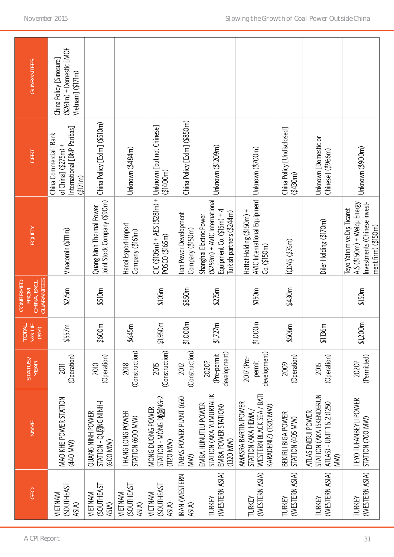| GEO                                   | <b>NAME</b>                                                                                                    | STATUS/<br>YEAR                      | <b>TOTAL</b><br>VALUE<br>(M <sub>3</sub> ) | CHINA, EXCL.<br>GUARANTEES<br><b>CONFIRMED</b><br>FROM | <b>EQUITY</b>                                                                                                         | DEBT                                                                                        | <b>GUARANTEES</b>                                                              |
|---------------------------------------|----------------------------------------------------------------------------------------------------------------|--------------------------------------|--------------------------------------------|--------------------------------------------------------|-----------------------------------------------------------------------------------------------------------------------|---------------------------------------------------------------------------------------------|--------------------------------------------------------------------------------|
| <b>(SOUTHEAST</b><br>VIETNAM<br>ASIA) | MAO KHE POWER STATION<br>(440 MW)                                                                              | (Operation)<br><b>2011</b>           | \$557m                                     | \$275m                                                 | Vinacomin (\$111m)                                                                                                    | International [BNP Paribas]<br>China Commercial [Bank<br>of China] $($ $$275m)$ +<br>(171m) | $( $26$ Im $)$ + Domestic [MOF<br>China Policy [Sinosure]<br>Vietnam] (\$171m) |
| <b>(SOUTHEAST</b><br>VIETNAM<br>ASIA) | <b>STATION - DOITATIS</b><br>QUANG NINH POWER<br>(600 MW)                                                      | (Operation)<br>2010                  | \$600m                                     | \$510m                                                 | Joint Stock Company (\$90m)<br>Quang Ninh Thermal Power                                                               | China Policy [Exlm] (\$510m)                                                                |                                                                                |
| <b>(SOUTHEAST</b><br>VIETNAM<br>ASIA) | THANG LONG POWER<br>STATION (600 MW)                                                                           | (Construction)<br>2018               | \$645m                                     |                                                        | Hanoi Export-Import<br>Company (\$161m)                                                                               | Unknown (\$484m)                                                                            |                                                                                |
| <b>(SOUTHEAST</b><br>VIETNAM<br>ASIA) | NG-2<br>MONG DUONG POWER<br>STATION - MÔNG D<br>$(1120$ MW)                                                    | (Construction)<br>2015               | \$1,950m                                   | \$105m                                                 | CIC (\$105m) + AES (\$28Im) +  Unknown [but not Chinese]<br>POSCO (\$165m)                                            | (1400m)                                                                                     |                                                                                |
| IRAN (WESTERN<br>ASIA)                | TABAS POWER PLANT (650<br>MW)                                                                                  | (Construction)<br>2012               | \$1,000m                                   | \$850m                                                 | Iran Power Development<br>Company (\$150m)                                                                            | China Policy [Exlm] (\$850m)                                                                |                                                                                |
| (WESTERN ASIA)<br>TURKEY              | STATION (AKA YUMURTALIK<br>EMBA HUNUTLU POWER<br>EMBA POWER STATION)<br>(1320 MW)                              | development)<br>(Pre-permit<br>2020? | \$1,727m                                   | \$275m                                                 | $(259m) + AVIC$ International<br>Equipment $Co.$ $($15m) + 4$<br>Turkish partners (\$244m)<br>Shanghai Electric Power | Unknown (\$1209m)                                                                           |                                                                                |
| (WESTERN ASIA)<br>TURKEY              | WESTERN BLACK SEA / BAT<br>AMASRA BARTIN POWER<br><aradeniz) (1320="" mw)<br="">STATION (AKA HEMA)</aradeniz)> | development)<br>2017 (Pre-<br>permit | \$1,000m                                   | \$150m                                                 | AVIC International Equipment   Unknown (\$700m)<br>Hattat Holding (\$150m) +<br>Co. (\$150m)                          |                                                                                             |                                                                                |
| (WESTERN ASIA)<br>TURKEY              | BEKIRLI BIGA POWER<br>STATION (405 MW)                                                                         | (Operation)<br>2009                  | \$506m                                     | \$430m                                                 | ICDA5(\$76m)                                                                                                          | China Policy [Undisclosed]<br>(430m)                                                        |                                                                                |
| (WESTERN ASIA)<br>TURKEY              | STATION (AKA ISKENDERUN<br>ATLAS) - UNIT 1 & 2 (1250<br>ATLAS ENERJI POWER<br>MW)                              | (Operation)<br>2015                  | \$1,136m                                   |                                                        | Diler Holding (\$170m)                                                                                                | Unknown [Domestic or<br>Chinese] (\$966m)                                                   |                                                                                |
| (WESTERN ASIA)<br>TURKEY              | TEYO TUFANBEYLI POWER<br>STATION (700 MW)                                                                      | (Permitted)<br>2020?                 | \$1,200m                                   | \$150m                                                 | A.5 (\$150m) + Weiqu Energy<br>Investments (Chinese invest-<br>Teyo Yatırım ve Dış Ticaret<br>ment firm) (\$150m)     | Unknown (\$900m)                                                                            |                                                                                |